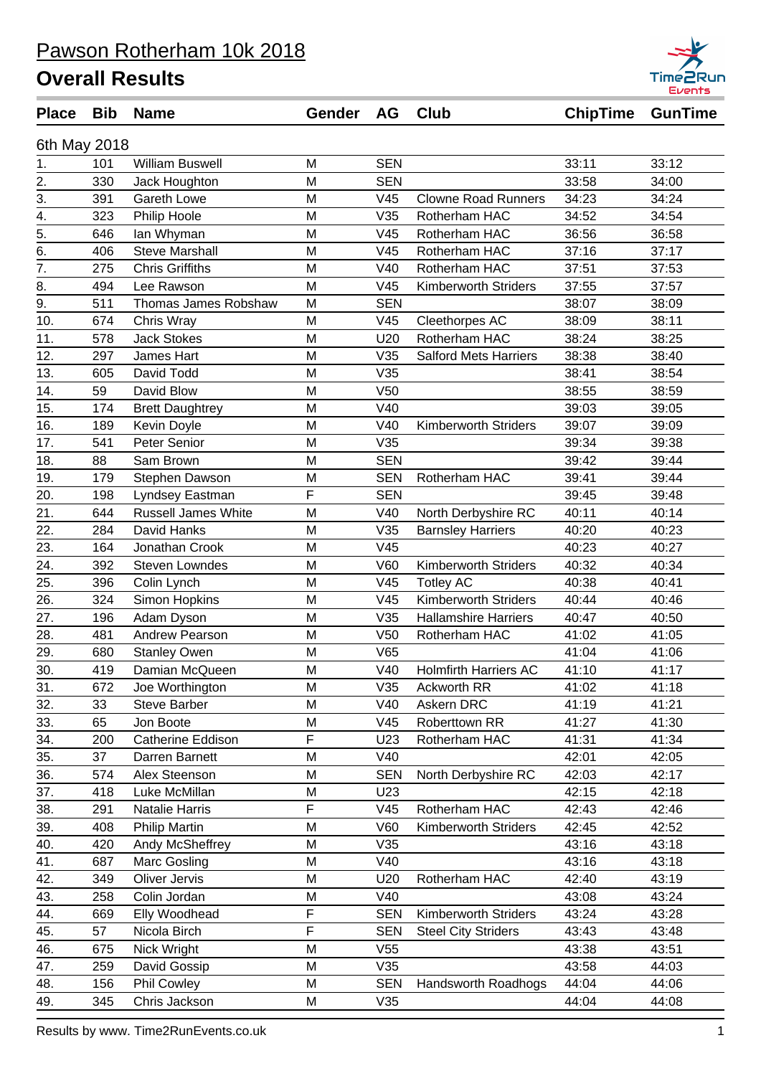| <b>Place</b>     | <b>Bib</b> | <b>Name</b>                | Gender | AG              | <b>Club</b>                  | <b>ChipTime</b> | <b>GunTime</b> |
|------------------|------------|----------------------------|--------|-----------------|------------------------------|-----------------|----------------|
| 6th May 2018     |            |                            |        |                 |                              |                 |                |
| 1.               | 101        | <b>William Buswell</b>     | M      | <b>SEN</b>      |                              | 33:11           | 33:12          |
| 2.               | 330        | Jack Houghton              | M      | <b>SEN</b>      |                              | 33:58           | 34:00          |
| $\overline{3}$ . | 391        | <b>Gareth Lowe</b>         | M      | V45             | <b>Clowne Road Runners</b>   | 34:23           | 34:24          |
| $\overline{4}$ . | 323        | Philip Hoole               | M      | V35             | Rotherham HAC                | 34:52           | 34:54          |
| $\overline{5}$ . | 646        | lan Whyman                 | M      | V45             | Rotherham HAC                | 36:56           | 36:58          |
| 6.               | 406        | <b>Steve Marshall</b>      | M      | V45             | Rotherham HAC                | 37:16           | 37:17          |
| $\overline{7}$ . | 275        | <b>Chris Griffiths</b>     | M      | V40             | Rotherham HAC                | 37:51           | 37:53          |
| 8.               | 494        | Lee Rawson                 | M      | V45             | Kimberworth Striders         | 37:55           | 37:57          |
| 9.               | 511        | Thomas James Robshaw       | M      | <b>SEN</b>      |                              | 38:07           | 38:09          |
| 10.              | 674        | Chris Wray                 | M      | V45             | Cleethorpes AC               | 38:09           | 38:11          |
| 11.              | 578        | <b>Jack Stokes</b>         | M      | U20             | Rotherham HAC                | 38:24           | 38:25          |
| 12.              | 297        | James Hart                 | M      | V35             | <b>Salford Mets Harriers</b> | 38:38           | 38:40          |
| 13.              | 605        | David Todd                 | M      | V35             |                              | 38:41           | 38:54          |
| 14.              | 59         | David Blow                 | M      | V <sub>50</sub> |                              | 38:55           | 38:59          |
| 15.              | 174        | <b>Brett Daughtrey</b>     | M      | V40             |                              | 39:03           | 39:05          |
| 16.              | 189        | Kevin Doyle                | M      | V40             | <b>Kimberworth Striders</b>  | 39:07           | 39:09          |
| 17.              | 541        | Peter Senior               | M      | V35             |                              | 39:34           | 39:38          |
| 18.              | 88         | Sam Brown                  | M      | <b>SEN</b>      |                              | 39:42           | 39:44          |
| 19.              | 179        | Stephen Dawson             | M      | <b>SEN</b>      | Rotherham HAC                | 39:41           | 39:44          |
| 20.              | 198        | Lyndsey Eastman            | F      | <b>SEN</b>      |                              | 39:45           | 39:48          |
| 21.              | 644        | <b>Russell James White</b> | M      | V40             | North Derbyshire RC          | 40:11           | 40:14          |
| 22.              | 284        | David Hanks                | M      | V35             | <b>Barnsley Harriers</b>     | 40:20           | 40:23          |
| 23.              | 164        | Jonathan Crook             | M      | V45             |                              | 40:23           | 40:27          |
| 24.              | 392        | <b>Steven Lowndes</b>      | M      | <b>V60</b>      | <b>Kimberworth Striders</b>  | 40:32           | 40:34          |
| 25.              | 396        | Colin Lynch                | M      | V45             | <b>Totley AC</b>             | 40:38           | 40:41          |
| 26.              | 324        | Simon Hopkins              | M      | V45             | <b>Kimberworth Striders</b>  | 40:44           | 40:46          |
| 27.              | 196        | Adam Dyson                 | M      | V35             | <b>Hallamshire Harriers</b>  | 40:47           | 40:50          |
| 28.              | 481        | Andrew Pearson             | M      | V <sub>50</sub> | Rotherham HAC                | 41:02           | 41:05          |
| 29.              | 680        | <b>Stanley Owen</b>        | M      | V65             |                              | 41:04           | 41:06          |
| 30.              | 419        | Damian McQueen             | M      | V40             | <b>Holmfirth Harriers AC</b> | 41:10           | 41:17          |
| 31.              | 672        | Joe Worthington            | M      | V35             | Ackworth RR                  | 41:02           | 41:18          |
| 32.              | 33         | <b>Steve Barber</b>        | M      | V40             | Askern DRC                   | 41:19           | 41:21          |
| 33.              | 65         | Jon Boote                  | M      | V45             | Roberttown RR                | 41:27           | 41:30          |
| 34.              | 200        | Catherine Eddison          | F      | U23             | Rotherham HAC                | 41:31           | 41:34          |
| 35.              | 37         | Darren Barnett             | M      | V40             |                              | 42:01           | 42:05          |
| 36.              | 574        | Alex Steenson              | M      | <b>SEN</b>      | North Derbyshire RC          | 42:03           | 42:17          |
| 37.              | 418        | Luke McMillan              | M      | U23             |                              | 42:15           | 42:18          |
| 38.              | 291        | Natalie Harris             | F      | V45             | Rotherham HAC                | 42:43           | 42:46          |
| 39.              | 408        | <b>Philip Martin</b>       | M      | V60             | Kimberworth Striders         | 42:45           | 42:52          |
| 40.              | 420        | Andy McSheffrey            | M      | V35             |                              | 43:16           | 43:18          |
| 41.              | 687        | Marc Gosling               | M      | V40             |                              | 43:16           | 43:18          |
| 42.              | 349        | Oliver Jervis              | M      | U20             | Rotherham HAC                | 42:40           | 43:19          |
| 43.              | 258        | Colin Jordan               | M      | V40             |                              | 43:08           | 43:24          |
| 44.              | 669        | Elly Woodhead              | F      | <b>SEN</b>      | Kimberworth Striders         | 43:24           | 43:28          |
| 45.              | 57         | Nicola Birch               | F      | <b>SEN</b>      | <b>Steel City Striders</b>   | 43:43           | 43:48          |
| 46.              | 675        | Nick Wright                | M      | V <sub>55</sub> |                              | 43:38           | 43:51          |
| 47.              | 259        | David Gossip               | M      | V35             |                              | 43:58           | 44:03          |
| 48.              | 156        | <b>Phil Cowley</b>         | М      | <b>SEN</b>      | Handsworth Roadhogs          | 44:04           | 44:06          |
| 49.              | 345        | Chris Jackson              | M      | V35             |                              | 44:04           | 44:08          |
|                  |            |                            |        |                 |                              |                 |                |

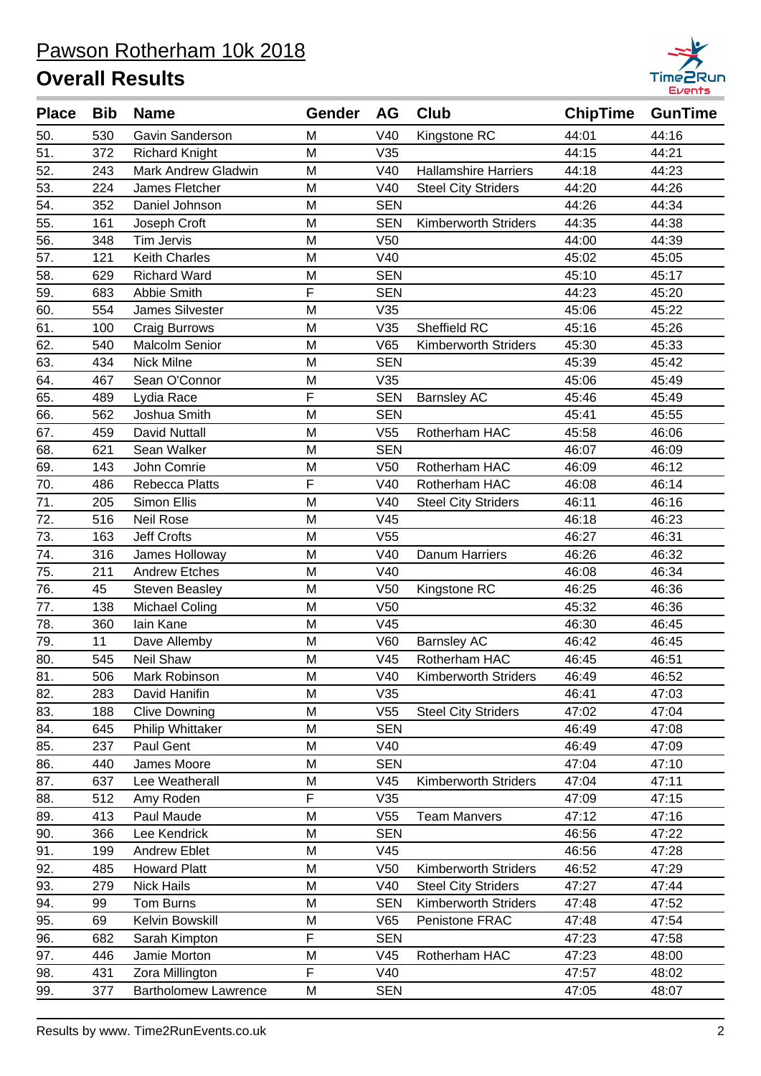

| <b>Place</b> | <b>Bib</b> | <b>Name</b>                 | Gender | AG              | <b>Club</b>                 | <b>ChipTime</b> | <b>GunTime</b> |
|--------------|------------|-----------------------------|--------|-----------------|-----------------------------|-----------------|----------------|
| 50.          | 530        | Gavin Sanderson             | M      | V40             | Kingstone RC                | 44:01           | 44:16          |
| 51.          | 372        | <b>Richard Knight</b>       | M      | V35             |                             | 44:15           | 44:21          |
| 52.          | 243        | Mark Andrew Gladwin         | M      | V40             | <b>Hallamshire Harriers</b> | 44:18           | 44:23          |
| 53.          | 224        | James Fletcher              | M      | V40             | <b>Steel City Striders</b>  | 44:20           | 44:26          |
| 54.          | 352        | Daniel Johnson              | M      | <b>SEN</b>      |                             | 44:26           | 44:34          |
| 55.          | 161        | Joseph Croft                | M      | <b>SEN</b>      | <b>Kimberworth Striders</b> | 44:35           | 44:38          |
| 56.          | 348        | <b>Tim Jervis</b>           | M      | V <sub>50</sub> |                             | 44:00           | 44:39          |
| 57.          | 121        | Keith Charles               | M      | V40             |                             | 45:02           | 45:05          |
| 58.          | 629        | <b>Richard Ward</b>         | M      | <b>SEN</b>      |                             | 45:10           | 45:17          |
| 59.          | 683        | Abbie Smith                 | F      | <b>SEN</b>      |                             | 44:23           | 45:20          |
| 60.          | 554        | <b>James Silvester</b>      | M      | V35             |                             | 45:06           | 45:22          |
| 61.          | 100        | Craig Burrows               | M      | V35             | Sheffield RC                | 45:16           | 45:26          |
| 62.          | 540        | <b>Malcolm Senior</b>       | M      | V65             | <b>Kimberworth Striders</b> | 45:30           | 45:33          |
| 63.          | 434        | Nick Milne                  | M      | <b>SEN</b>      |                             | 45:39           | 45:42          |
| 64.          | 467        | Sean O'Connor               | M      | V35             |                             | 45:06           | 45:49          |
| 65.          | 489        | Lydia Race                  | F      | <b>SEN</b>      | <b>Barnsley AC</b>          | 45:46           | 45:49          |
| 66.          | 562        | Joshua Smith                | M      | <b>SEN</b>      |                             | 45:41           | 45:55          |
| 67.          | 459        | <b>David Nuttall</b>        | M      | V <sub>55</sub> | Rotherham HAC               | 45:58           | 46:06          |
| 68.          | 621        | Sean Walker                 | M      | <b>SEN</b>      |                             | 46:07           | 46:09          |
| 69.          | 143        | John Comrie                 | M      | V <sub>50</sub> | Rotherham HAC               | 46:09           | 46:12          |
| 70.          | 486        | Rebecca Platts              | F      | V40             | Rotherham HAC               | 46:08           | 46:14          |
| 71.          | 205        | Simon Ellis                 | M      | V40             | <b>Steel City Striders</b>  | 46:11           | 46:16          |
| 72.          | 516        | <b>Neil Rose</b>            | M      | V45             |                             | 46:18           | 46:23          |
| 73.          | 163        | <b>Jeff Crofts</b>          | M      | V <sub>55</sub> |                             | 46:27           | 46:31          |
| 74.          | 316        | James Holloway              | M      | V40             | Danum Harriers              | 46:26           | 46:32          |
| 75.          | 211        | <b>Andrew Etches</b>        | M      | V40             |                             | 46:08           | 46:34          |
| 76.          | 45         | <b>Steven Beasley</b>       | M      | V <sub>50</sub> | Kingstone RC                | 46:25           | 46:36          |
| 77.          | 138        | <b>Michael Coling</b>       | M      | V <sub>50</sub> |                             | 45:32           | 46:36          |
| 78.          | 360        | lain Kane                   | M      | V45             |                             | 46:30           | 46:45          |
| 79.          | 11         | Dave Allemby                | M      | V60             | <b>Barnsley AC</b>          | 46:42           | 46:45          |
| 80.          | 545        | Neil Shaw                   | M      | V45             | Rotherham HAC               | 46:45           | 46:51          |
| 81.          | 506        | Mark Robinson               | M      | V40             | Kimberworth Striders        | 46:49           | 46:52          |
| 82.          | 283        | David Hanifin               | M      | V35             |                             | 46:41           | 47:03          |
| 83.          | 188        | <b>Clive Downing</b>        | M      | V55             | <b>Steel City Striders</b>  | 47:02           | 47:04          |
| 84.          | 645        | Philip Whittaker            | M      | <b>SEN</b>      |                             | 46:49           | 47:08          |
| 85.          | 237        | Paul Gent                   | M      | V40             |                             | 46:49           | 47:09          |
| 86.          | 440        | James Moore                 | M      | <b>SEN</b>      |                             | 47:04           | 47:10          |
| 87.          | 637        | Lee Weatherall              | M      | V <sub>45</sub> | <b>Kimberworth Striders</b> | 47:04           | 47:11          |
| 88.          | 512        | Amy Roden                   | F      | V35             |                             | 47:09           | 47:15          |
| 89.          | 413        | Paul Maude                  | M      | V <sub>55</sub> | <b>Team Manvers</b>         | 47:12           | 47:16          |
| 90.          | 366        | Lee Kendrick                | M      | <b>SEN</b>      |                             | 46:56           | 47:22          |
| 91.          | 199        | <b>Andrew Eblet</b>         | M      | V45             |                             | 46:56           | 47:28          |
| 92.          | 485        | <b>Howard Platt</b>         | M      | V <sub>50</sub> | <b>Kimberworth Striders</b> | 46:52           | 47:29          |
| 93.          | 279        | <b>Nick Hails</b>           | M      | V40             | <b>Steel City Striders</b>  | 47:27           | 47:44          |
| 94.          | 99         | Tom Burns                   | M      | <b>SEN</b>      | <b>Kimberworth Striders</b> | 47:48           | 47:52          |
| 95.          | 69         | Kelvin Bowskill             | M      | V65             | Penistone FRAC              | 47:48           | 47:54          |
| 96.          | 682        | Sarah Kimpton               | F      | <b>SEN</b>      |                             | 47:23           | 47:58          |
| 97.          | 446        | Jamie Morton                | M      | V45             | Rotherham HAC               | 47:23           | 48:00          |
| 98.          | 431        | Zora Millington             | F      | V40             |                             | 47:57           | 48:02          |
| 99.          | 377        | <b>Bartholomew Lawrence</b> | M      | <b>SEN</b>      |                             | 47:05           | 48:07          |
|              |            |                             |        |                 |                             |                 |                |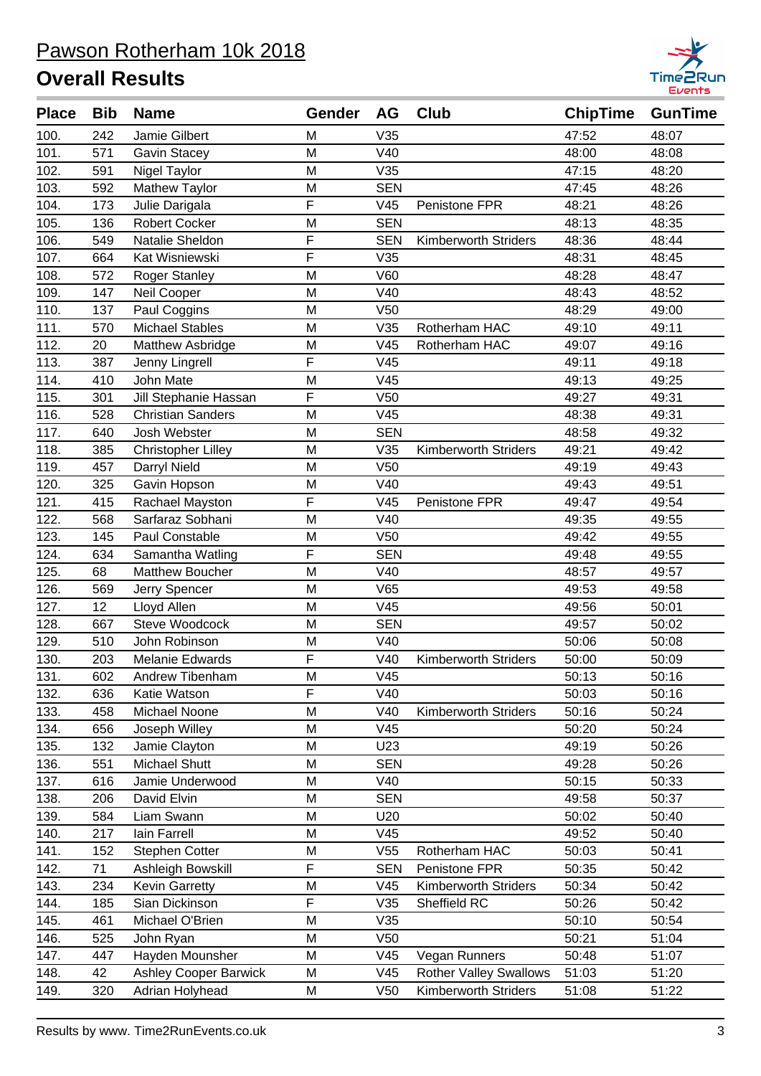

| <b>Place</b> | <b>Bib</b> | <b>Name</b>               | Gender | AG              | <b>Club</b>                   | <b>ChipTime</b> | <b>GunTime</b> |
|--------------|------------|---------------------------|--------|-----------------|-------------------------------|-----------------|----------------|
| 100.         | 242        | Jamie Gilbert             | M      | V35             |                               | 47:52           | 48:07          |
| 101.         | 571        | <b>Gavin Stacey</b>       | M      | V40             |                               | 48:00           | 48:08          |
| 102.         | 591        | Nigel Taylor              | M      | V35             |                               | 47:15           | 48:20          |
| 103.         | 592        | Mathew Taylor             | M      | <b>SEN</b>      |                               | 47:45           | 48:26          |
| 104.         | 173        | Julie Darigala            | F      | V45             | Penistone FPR                 | 48:21           | 48:26          |
| 105.         | 136        | <b>Robert Cocker</b>      | M      | <b>SEN</b>      |                               | 48:13           | 48:35          |
| 106.         | 549        | Natalie Sheldon           | F      | <b>SEN</b>      | <b>Kimberworth Striders</b>   | 48:36           | 48:44          |
| 107.         | 664        | Kat Wisniewski            | F      | V35             |                               | 48:31           | 48:45          |
| 108.         | 572        | <b>Roger Stanley</b>      | M      | V60             |                               | 48:28           | 48:47          |
| 109.         | 147        | Neil Cooper               | M      | V40             |                               | 48:43           | 48:52          |
| 110.         | 137        | Paul Coggins              | M      | V <sub>50</sub> |                               | 48:29           | 49:00          |
| 111.         | 570        | <b>Michael Stables</b>    | M      | V35             | Rotherham HAC                 | 49:10           | 49:11          |
| 112.         | 20         | Matthew Asbridge          | M      | V45             | Rotherham HAC                 | 49:07           | 49:16          |
| 113.         | 387        | Jenny Lingrell            | F      | V45             |                               | 49:11           | 49:18          |
| 114.         | 410        | John Mate                 | M      | V45             |                               | 49:13           | 49:25          |
| 115.         | 301        | Jill Stephanie Hassan     | F      | V <sub>50</sub> |                               | 49:27           | 49:31          |
| 116.         | 528        | <b>Christian Sanders</b>  | M      | V45             |                               | 48:38           | 49:31          |
| 117.         | 640        | Josh Webster              | M      | <b>SEN</b>      |                               | 48:58           | 49:32          |
| 118.         | 385        | <b>Christopher Lilley</b> | M      | V35             | Kimberworth Striders          | 49:21           | 49:42          |
| 119.         | 457        | Darryl Nield              | M      | V <sub>50</sub> |                               | 49:19           | 49:43          |
| 120.         | 325        | Gavin Hopson              | M      | V40             |                               | 49:43           | 49:51          |
| 121.         | 415        | Rachael Mayston           | F      | V45             | Penistone FPR                 | 49:47           | 49:54          |
| 122.         | 568        | Sarfaraz Sobhani          | M      | V40             |                               | 49:35           | 49:55          |
| 123.         | 145        | Paul Constable            | M      | V <sub>50</sub> |                               | 49:42           | 49:55          |
| 124.         | 634        | Samantha Watling          | F      | <b>SEN</b>      |                               | 49:48           | 49:55          |
| 125.         | 68         | <b>Matthew Boucher</b>    | M      | V40             |                               | 48:57           | 49:57          |
| 126.         | 569        | Jerry Spencer             | M      | V65             |                               | 49:53           | 49:58          |
| 127.         | 12         | Lloyd Allen               | M      | V45             |                               | 49:56           | 50:01          |
| 128.         | 667        | <b>Steve Woodcock</b>     | M      | <b>SEN</b>      |                               | 49:57           | 50:02          |
| 129.         | 510        | John Robinson             | M      | V40             |                               | 50:06           | 50:08          |
| 130.         | 203        | <b>Melanie Edwards</b>    | F      | V40             | <b>Kimberworth Striders</b>   | 50:00           | 50:09          |
| 131.         | 602        | Andrew Tibenham           | M      | V45             |                               | 50:13           | 50:16          |
| 132.         | 636        | Katie Watson              | F      | V40             |                               | 50:03           | 50:16          |
| 133.         | 458        | Michael Noone             | M      | V40             | <b>Kimberworth Striders</b>   | 50:16           | 50:24          |
| 134.         | 656        | Joseph Willey             | M      | V45             |                               | 50:20           | 50:24          |
| 135.         | 132        | Jamie Clayton             | M      | U23             |                               | 49:19           | 50:26          |
| 136.         | 551        | Michael Shutt             | M      | <b>SEN</b>      |                               | 49:28           | 50:26          |
| 137.         | 616        | Jamie Underwood           | M      | V40             |                               | 50:15           | 50:33          |
| 138.         | 206        | David Elvin               | M      | <b>SEN</b>      |                               | 49:58           | 50:37          |
| 139.         | 584        | Liam Swann                | M      | U20             |                               | 50:02           | 50:40          |
| 140.         | 217        | lain Farrell              | M      | V45             |                               | 49:52           | 50:40          |
| 141.         | 152        | Stephen Cotter            | M      | V55             | Rotherham HAC                 | 50:03           | 50:41          |
| 142.         | 71         | Ashleigh Bowskill         | F      | <b>SEN</b>      | Penistone FPR                 | 50:35           | 50:42          |
| 143.         | 234        | <b>Kevin Garretty</b>     | M      | V45             | Kimberworth Striders          | 50:34           | 50:42          |
| 144.         | 185        | Sian Dickinson            | F      | V35             | Sheffield RC                  | 50:26           | 50:42          |
| 145.         | 461        | Michael O'Brien           | M      | V35             |                               | 50:10           | 50:54          |
| 146.         | 525        | John Ryan                 | M      | V <sub>50</sub> |                               | 50:21           | 51:04          |
| 147.         | 447        | Hayden Mounsher           | M      | V45             | Vegan Runners                 | 50:48           | 51:07          |
| 148.         | 42         | Ashley Cooper Barwick     | M      | V45             | <b>Rother Valley Swallows</b> | 51:03           | 51:20          |
| 149.         | 320        | Adrian Holyhead           | M      | V <sub>50</sub> | Kimberworth Striders          | 51:08           | 51:22          |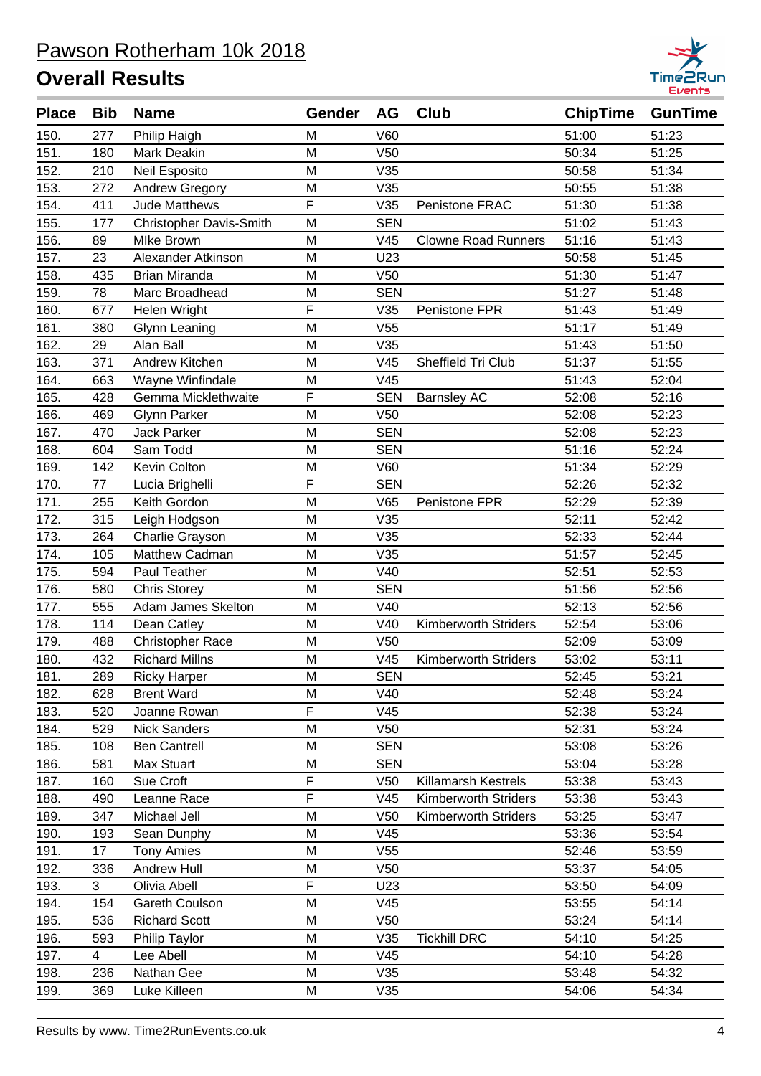

| <b>Place</b> | <b>Bib</b>     | <b>Name</b>                    | <b>Gender</b> | AG              | Club                        | <b>ChipTime</b> | <b>GunTime</b> |
|--------------|----------------|--------------------------------|---------------|-----------------|-----------------------------|-----------------|----------------|
| 150.         | 277            | Philip Haigh                   | M             | V60             |                             | 51:00           | 51:23          |
| 151.         | 180            | <b>Mark Deakin</b>             | M             | V <sub>50</sub> |                             | 50:34           | 51:25          |
| 152.         | 210            | Neil Esposito                  | M             | V35             |                             | 50:58           | 51:34          |
| 153.         | 272            | Andrew Gregory                 | M             | V35             |                             | 50:55           | 51:38          |
| 154.         | 411            | <b>Jude Matthews</b>           | F             | V35             | Penistone FRAC              | 51:30           | 51:38          |
| 155.         | 177            | <b>Christopher Davis-Smith</b> | M             | <b>SEN</b>      |                             | 51:02           | 51:43          |
| 156.         | 89             | <b>MIke Brown</b>              | M             | V <sub>45</sub> | <b>Clowne Road Runners</b>  | 51:16           | 51:43          |
| 157.         | 23             | Alexander Atkinson             | M             | U23             |                             | 50:58           | 51:45          |
| 158.         | 435            | <b>Brian Miranda</b>           | M             | V <sub>50</sub> |                             | 51:30           | 51:47          |
| 159.         | 78             | Marc Broadhead                 | M             | <b>SEN</b>      |                             | 51:27           | 51:48          |
| 160.         | 677            | Helen Wright                   | F             | V35             | Penistone FPR               | 51:43           | 51:49          |
| 161.         | 380            | <b>Glynn Leaning</b>           | M             | V <sub>55</sub> |                             | 51:17           | 51:49          |
| 162.         | 29             | Alan Ball                      | M             | V35             |                             | 51:43           | 51:50          |
| 163.         | 371            | Andrew Kitchen                 | M             | V45             | Sheffield Tri Club          | 51:37           | 51:55          |
| 164.         | 663            | Wayne Winfindale               | M             | V45             |                             | 51:43           | 52:04          |
| 165.         | 428            | Gemma Micklethwaite            | F             | <b>SEN</b>      | <b>Barnsley AC</b>          | 52:08           | 52:16          |
| 166.         | 469            | <b>Glynn Parker</b>            | M             | V <sub>50</sub> |                             | 52:08           | 52:23          |
| 167.         | 470            | <b>Jack Parker</b>             | M             | <b>SEN</b>      |                             | 52:08           | 52:23          |
| 168.         | 604            | Sam Todd                       | M             | <b>SEN</b>      |                             | 51:16           | 52:24          |
| 169.         | 142            | Kevin Colton                   | M             | V60             |                             | 51:34           | 52:29          |
| 170.         | 77             | Lucia Brighelli                | F             | <b>SEN</b>      |                             | 52:26           | 52:32          |
| 171.         | 255            | Keith Gordon                   | M             | V65             | Penistone FPR               | 52:29           | 52:39          |
| 172.         | 315            | Leigh Hodgson                  | M             | V35             |                             | 52:11           | 52:42          |
| 173.         | 264            | Charlie Grayson                | M             | V35             |                             | 52:33           | 52:44          |
| 174.         | 105            | Matthew Cadman                 | M             | V35             |                             | 51:57           | 52:45          |
| 175.         | 594            | Paul Teather                   | M             | V40             |                             | 52:51           | 52:53          |
| 176.         | 580            | <b>Chris Storey</b>            | M             | <b>SEN</b>      |                             | 51:56           | 52:56          |
| 177.         | 555            | Adam James Skelton             | M             | V40             |                             | 52:13           | 52:56          |
| 178.         | 114            | Dean Catley                    | M             | V40             | <b>Kimberworth Striders</b> | 52:54           | 53:06          |
| 179.         | 488            | <b>Christopher Race</b>        | M             | V <sub>50</sub> |                             | 52:09           | 53:09          |
| 180.         | 432            | <b>Richard Millns</b>          | M             | V45             | <b>Kimberworth Striders</b> | 53:02           | 53:11          |
| 181.         | 289            | <b>Ricky Harper</b>            | M             | <b>SEN</b>      |                             | 52:45           | 53:21          |
| 182.         | 628            | <b>Brent Ward</b>              | M             | V40             |                             | 52:48           | 53:24          |
| 183.         | 520            | Joanne Rowan                   | F             | V45             |                             | 52:38           | 53:24          |
| 184.         | 529            | <b>Nick Sanders</b>            | M             | V <sub>50</sub> |                             | 52:31           | 53:24          |
| 185.         | 108            | <b>Ben Cantrell</b>            | M             | <b>SEN</b>      |                             | 53:08           | 53:26          |
| 186.         | 581            | Max Stuart                     | M             | <b>SEN</b>      |                             | 53:04           | 53:28          |
| 187.         | 160            | Sue Croft                      | F             | V <sub>50</sub> | Killamarsh Kestrels         | 53:38           | 53:43          |
| 188.         | 490            | Leanne Race                    | F             | V45             | <b>Kimberworth Striders</b> | 53:38           | 53:43          |
| 189.         | 347            | Michael Jell                   | M             | V <sub>50</sub> | <b>Kimberworth Striders</b> | 53:25           | 53:47          |
| 190.         | 193            | Sean Dunphy                    | M             | V45             |                             | 53:36           | 53:54          |
| 191.         | 17             | <b>Tony Amies</b>              | M             | V <sub>55</sub> |                             | 52:46           | 53:59          |
| 192.         | 336            | Andrew Hull                    | M             | V <sub>50</sub> |                             | 53:37           | 54:05          |
| 193.         | 3              | Olivia Abell                   | F             | U23             |                             | 53:50           | 54:09          |
| 194.         | 154            | Gareth Coulson                 | M             | V45             |                             | 53:55           | 54:14          |
| 195.         | 536            | <b>Richard Scott</b>           | M             | V50             |                             | 53:24           | 54:14          |
| 196.         | 593            | Philip Taylor                  | M             | V35             | <b>Tickhill DRC</b>         | 54:10           | 54:25          |
| 197.         | $\overline{4}$ | Lee Abell                      | M             | V45             |                             | 54:10           | 54:28          |
| 198.         | 236            | Nathan Gee                     | M             | V35             |                             | 53:48           | 54:32          |
| 199.         | 369            | Luke Killeen                   | M             | V35             |                             | 54:06           | 54:34          |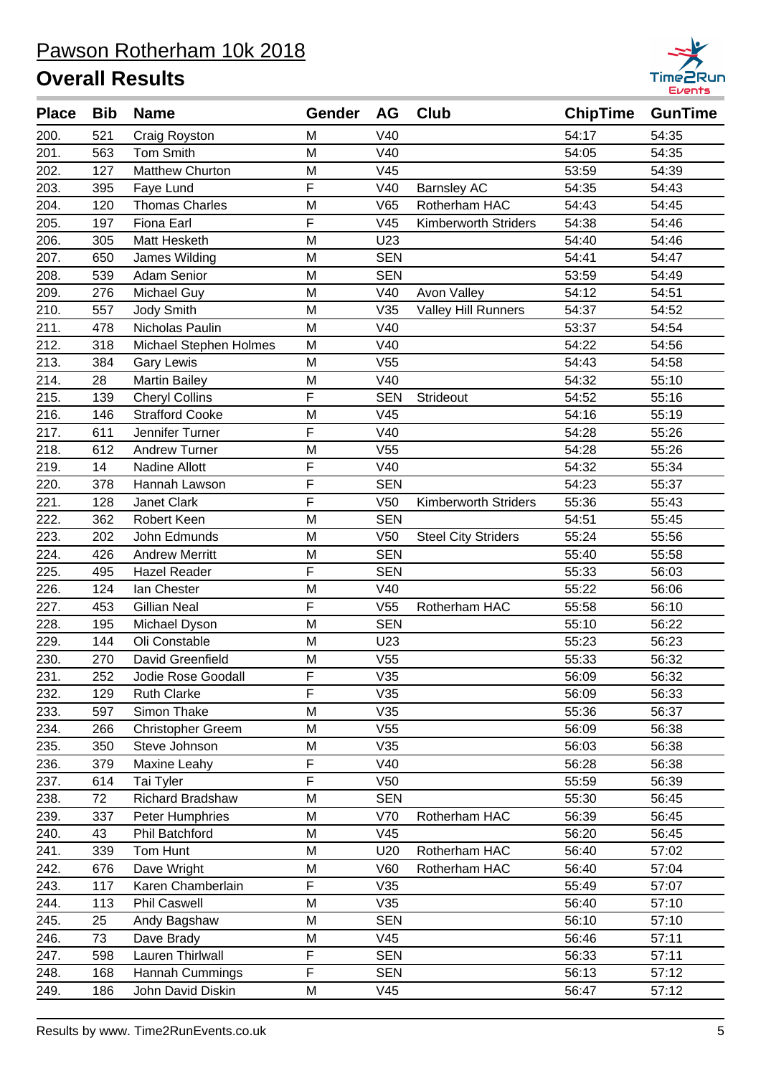

| <b>Place</b> | <b>Bib</b> | <b>Name</b>            | Gender                  | AG              | <b>Club</b>                 | <b>ChipTime</b> | <b>GunTime</b> |
|--------------|------------|------------------------|-------------------------|-----------------|-----------------------------|-----------------|----------------|
| 200.         | 521        | Craig Royston          | M                       | V40             |                             | 54:17           | 54:35          |
| 201.         | 563        | Tom Smith              | M                       | V40             |                             | 54:05           | 54:35          |
| 202.         | 127        | <b>Matthew Churton</b> | M                       | V45             |                             | 53:59           | 54:39          |
| 203.         | 395        | Faye Lund              | F                       | V40             | <b>Barnsley AC</b>          | 54:35           | 54:43          |
| 204.         | 120        | <b>Thomas Charles</b>  | M                       | V65             | Rotherham HAC               | 54:43           | 54:45          |
| 205.         | 197        | Fiona Earl             | F                       | V45             | <b>Kimberworth Striders</b> | 54:38           | 54:46          |
| 206.         | 305        | Matt Hesketh           | M                       | U23             |                             | 54:40           | 54:46          |
| 207.         | 650        | James Wilding          | M                       | <b>SEN</b>      |                             | 54:41           | 54:47          |
| 208.         | 539        | <b>Adam Senior</b>     | M                       | <b>SEN</b>      |                             | 53:59           | 54:49          |
| 209.         | 276        | Michael Guy            | M                       | V40             | Avon Valley                 | 54:12           | 54:51          |
| 210.         | 557        | Jody Smith             | M                       | V35             | <b>Valley Hill Runners</b>  | 54:37           | 54:52          |
| 211.         | 478        | Nicholas Paulin        | M                       | V40             |                             | 53:37           | 54:54          |
| 212.         | 318        | Michael Stephen Holmes | M                       | V40             |                             | 54:22           | 54:56          |
| 213.         | 384        | <b>Gary Lewis</b>      | M                       | V <sub>55</sub> |                             | 54:43           | 54:58          |
| 214.         | 28         | <b>Martin Bailey</b>   | M                       | V40             |                             | 54:32           | 55:10          |
| 215.         | 139        | <b>Cheryl Collins</b>  | F                       | <b>SEN</b>      | Strideout                   | 54:52           | 55:16          |
| 216.         | 146        | <b>Strafford Cooke</b> | M                       | V45             |                             | 54:16           | 55:19          |
| 217.         | 611        | Jennifer Turner        | F                       | V40             |                             | 54:28           | 55:26          |
| 218.         | 612        | <b>Andrew Turner</b>   | M                       | V <sub>55</sub> |                             | 54:28           | 55:26          |
| 219.         | 14         | Nadine Allott          | F                       | V40             |                             | 54:32           | 55:34          |
| 220.         | 378        | Hannah Lawson          | F                       | <b>SEN</b>      |                             | 54:23           | 55:37          |
| 221.         | 128        | Janet Clark            | $\overline{F}$          | V <sub>50</sub> | <b>Kimberworth Striders</b> | 55:36           | 55:43          |
| 222.         | 362        | Robert Keen            | M                       | <b>SEN</b>      |                             | 54:51           | 55:45          |
| 223.         | 202        | John Edmunds           | M                       | V50             | <b>Steel City Striders</b>  | 55:24           | 55:56          |
| 224.         | 426        | <b>Andrew Merritt</b>  | M                       | <b>SEN</b>      |                             | 55:40           | 55:58          |
| 225.         | 495        | <b>Hazel Reader</b>    | F                       | <b>SEN</b>      |                             | 55:33           | 56:03          |
| 226.         | 124        | lan Chester            | M                       | V40             |                             | 55:22           | 56:06          |
| 227.         | 453        | <b>Gillian Neal</b>    | F                       | V <sub>55</sub> | Rotherham HAC               | 55:58           | 56:10          |
| 228.         | 195        | Michael Dyson          | M                       | <b>SEN</b>      |                             | 55:10           | 56:22          |
| 229.         | 144        | Oli Constable          | M                       | U23             |                             | 55:23           | 56:23          |
| 230.         | 270        | David Greenfield       | M                       | V <sub>55</sub> |                             | 55:33           | 56:32          |
| 231.         | 252        | Jodie Rose Goodall     | F.                      | V35             |                             | 56:09           | 56:32          |
| 232.         | 129        | <b>Ruth Clarke</b>     | F                       | V35             |                             | 56:09           | 56:33          |
| 233.         | 597        | Simon Thake            | M                       | V35             |                             | 55:36           | 56:37          |
| 234.         | 266        | Christopher Greem      | M                       | V <sub>55</sub> |                             | 56:09           | 56:38          |
| 235.         | 350        | Steve Johnson          | M                       | V35             |                             | 56:03           | 56:38          |
| 236.         | 379        | Maxine Leahy           | F                       | V40             |                             | 56:28           | 56:38          |
| 237.         | 614        | Tai Tyler              | F                       | V50             |                             | 55:59           | 56:39          |
| 238.         | 72         | Richard Bradshaw       | M                       | <b>SEN</b>      |                             | 55:30           | 56:45          |
| 239.         | 337        | Peter Humphries        | M                       | V70             | Rotherham HAC               | 56:39           | 56:45          |
| 240.         | 43         | Phil Batchford         | M                       | V45             |                             | 56:20           | 56:45          |
| 241.         | 339        | Tom Hunt               | M                       | U20             | Rotherham HAC               | 56:40           | 57:02          |
| 242.         | 676        | Dave Wright            | M                       | V60             | Rotherham HAC               | 56:40           | 57:04          |
| 243.         | 117        | Karen Chamberlain      | F                       | V35             |                             | 55:49           | 57:07          |
| 244.         | 113        | <b>Phil Caswell</b>    | M                       | V35             |                             | 56:40           | 57:10          |
| 245.         | 25         | Andy Bagshaw           | M                       | <b>SEN</b>      |                             | 56:10           | 57:10          |
| 246.         | 73         | Dave Brady             | M                       | V45             |                             | 56:46           | 57:11          |
| 247.         | 598        | Lauren Thirlwall       | F                       | <b>SEN</b>      |                             | 56:33           | 57:11          |
| 248.         | 168        | Hannah Cummings        | $\overline{\mathsf{F}}$ | <b>SEN</b>      |                             | 56:13           | 57:12          |
| 249.         | 186        | John David Diskin      | M                       | V45             |                             | 56:47           | 57:12          |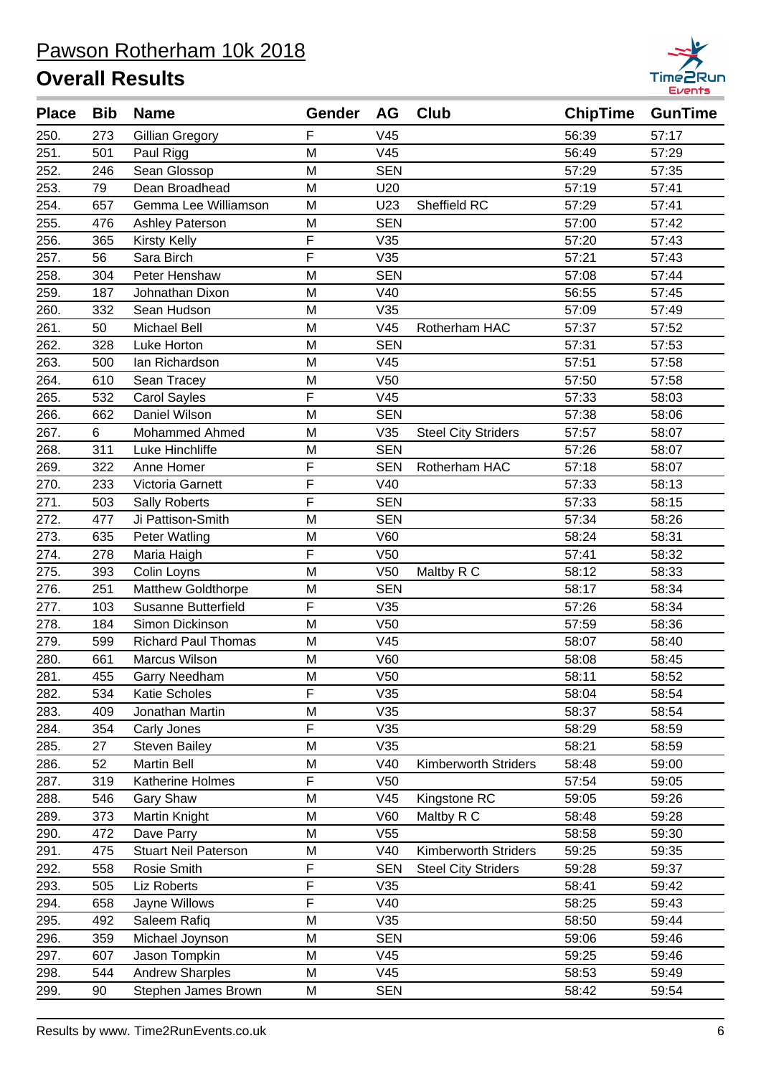

| <b>Place</b> | <b>Bib</b> | <b>Name</b>                 | Gender         | <b>AG</b>       | <b>Club</b>                | <b>ChipTime</b> | <b>GunTime</b> |
|--------------|------------|-----------------------------|----------------|-----------------|----------------------------|-----------------|----------------|
| 250.         | 273        | Gillian Gregory             | F              | V45             |                            | 56:39           | 57:17          |
| 251.         | 501        | Paul Rigg                   | M              | V45             |                            | 56:49           | 57:29          |
| 252.         | 246        | Sean Glossop                | M              | <b>SEN</b>      |                            | 57:29           | 57:35          |
| 253.         | 79         | Dean Broadhead              | M              | U20             |                            | 57:19           | 57:41          |
| 254.         | 657        | Gemma Lee Williamson        | M              | U23             | Sheffield RC               | 57:29           | 57:41          |
| 255.         | 476        | <b>Ashley Paterson</b>      | M              | <b>SEN</b>      |                            | 57:00           | 57:42          |
| 256.         | 365        | <b>Kirsty Kelly</b>         | F              | V35             |                            | 57:20           | 57:43          |
| 257.         | 56         | Sara Birch                  | $\overline{F}$ | V35             |                            | 57:21           | 57:43          |
| 258.         | 304        | Peter Henshaw               | M              | <b>SEN</b>      |                            | 57:08           | 57:44          |
| 259.         | 187        | Johnathan Dixon             | M              | V40             |                            | 56:55           | 57:45          |
| 260.         | 332        | Sean Hudson                 | M              | V35             |                            | 57:09           | 57:49          |
| 261.         | 50         | <b>Michael Bell</b>         | M              | V45             | Rotherham HAC              | 57:37           | 57:52          |
| 262.         | 328        | Luke Horton                 | M              | <b>SEN</b>      |                            | 57:31           | 57:53          |
| 263.         | 500        | Ian Richardson              | M              | V45             |                            | 57:51           | 57:58          |
| 264.         | 610        | Sean Tracey                 | M              | V <sub>50</sub> |                            | 57:50           | 57:58          |
| 265.         | 532        | <b>Carol Sayles</b>         | F              | V45             |                            | 57:33           | 58:03          |
| 266.         | 662        | Daniel Wilson               | M              | <b>SEN</b>      |                            | 57:38           | 58:06          |
| 267.         | 6          | <b>Mohammed Ahmed</b>       | M              | V35             | <b>Steel City Striders</b> | 57:57           | 58:07          |
| 268.         | 311        | Luke Hinchliffe             | M              | <b>SEN</b>      |                            | 57:26           | 58:07          |
| 269.         | 322        | Anne Homer                  | F              | <b>SEN</b>      | Rotherham HAC              | 57:18           | 58:07          |
| 270.         | 233        | Victoria Garnett            | F              | V40             |                            | 57:33           | 58:13          |
| 271.         | 503        | <b>Sally Roberts</b>        | F              | <b>SEN</b>      |                            | 57:33           | 58:15          |
| 272.         | 477        | Ji Pattison-Smith           | M              | <b>SEN</b>      |                            | 57:34           | 58:26          |
| 273.         | 635        | Peter Watling               | M              | V60             |                            | 58:24           | 58:31          |
| 274.         | 278        | Maria Haigh                 | F              | V <sub>50</sub> |                            | 57:41           | 58:32          |
| 275.         | 393        | Colin Loyns                 | M              | V <sub>50</sub> | Maltby R C                 | 58:12           | 58:33          |
| 276.         | 251        | <b>Matthew Goldthorpe</b>   | M              | <b>SEN</b>      |                            | 58:17           | 58:34          |
| 277.         | 103        | Susanne Butterfield         | F              | V35             |                            | 57:26           | 58:34          |
| 278.         | 184        | Simon Dickinson             | M              | V <sub>50</sub> |                            | 57:59           | 58:36          |
| 279.         | 599        | <b>Richard Paul Thomas</b>  | M              | V45             |                            | 58:07           | 58:40          |
| 280.         | 661        | Marcus Wilson               | M              | V60             |                            | 58:08           | 58:45          |
| 281.         | 455        | Garry Needham               | M              | V <sub>50</sub> |                            | 58:11           | 58:52          |
| 282.         | 534        | Katie Scholes               | F              | V35             |                            | 58:04           | 58:54          |
| 283.         | 409        | Jonathan Martin             | M              | V35             |                            | 58:37           | 58:54          |
| 284.         | 354        | Carly Jones                 | F              | V35             |                            | 58:29           | 58:59          |
| 285.         | 27         | <b>Steven Bailey</b>        | M              | V35             |                            | 58:21           | 58:59          |
| 286.         | 52         | <b>Martin Bell</b>          | M              | V40             | Kimberworth Striders       | 58:48           | 59:00          |
| 287.         | 319        | Katherine Holmes            | F              | V <sub>50</sub> |                            | 57:54           | 59:05          |
| 288.         | 546        | Gary Shaw                   | M              | V45             | Kingstone RC               | 59:05           | 59:26          |
| 289.         | 373        | Martin Knight               | M              | V60             | Maltby R C                 | 58:48           | 59:28          |
| 290.         | 472        | Dave Parry                  | M              | V <sub>55</sub> |                            | 58:58           | 59:30          |
| 291.         | 475        | <b>Stuart Neil Paterson</b> | M              | V40             | Kimberworth Striders       | 59:25           | 59:35          |
| 292.         | 558        | Rosie Smith                 | F              | <b>SEN</b>      | <b>Steel City Striders</b> | 59:28           | 59:37          |
| 293.         | 505        | Liz Roberts                 | F              | V35             |                            | 58:41           | 59:42          |
| 294.         | 658        | Jayne Willows               | F              | V40             |                            | 58:25           | 59:43          |
| 295.         | 492        | Saleem Rafiq                | M              | V35             |                            | 58:50           | 59:44          |
| 296.         | 359        | Michael Joynson             | M              | <b>SEN</b>      |                            | 59:06           | 59:46          |
| 297.         | 607        | Jason Tompkin               | M              | V45             |                            | 59:25           | 59:46          |
| 298.         | 544        | <b>Andrew Sharples</b>      | M              | V45             |                            | 58:53           | 59:49          |
| 299.         | 90         | Stephen James Brown         | M              | <b>SEN</b>      |                            | 58:42           | 59:54          |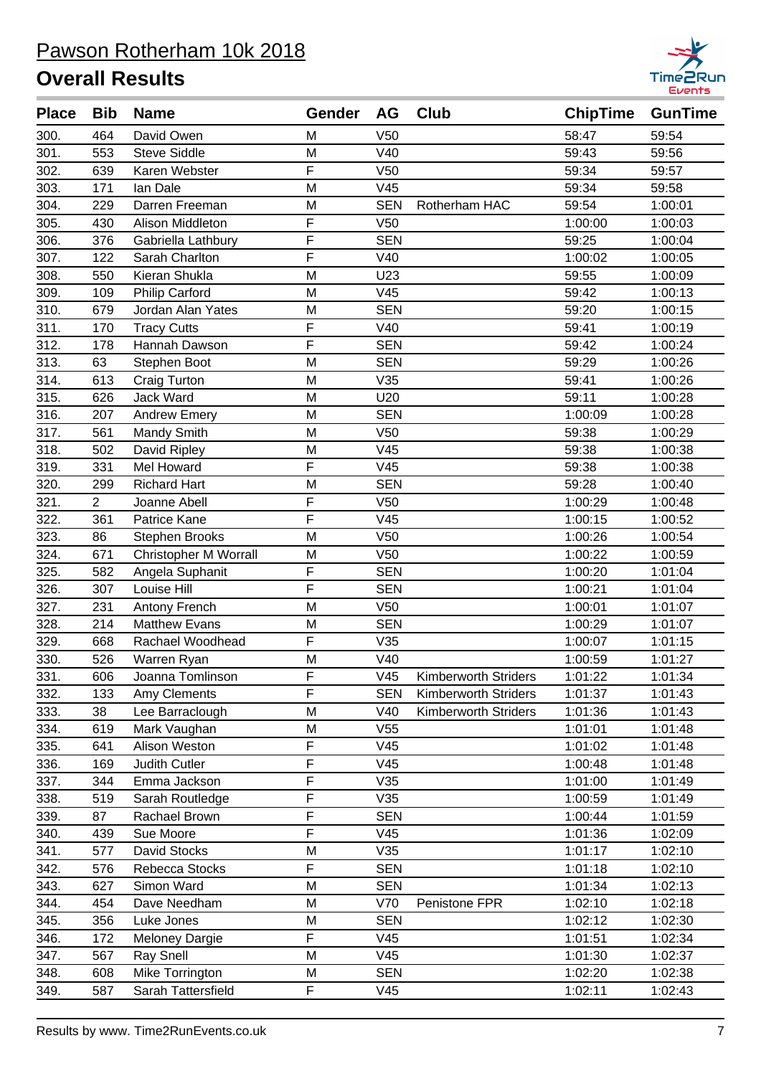

| <b>Place</b> | <b>Bib</b>     | <b>Name</b>                  | Gender         | AG              | <b>Club</b>                 | <b>ChipTime</b> | <b>GunTime</b> |
|--------------|----------------|------------------------------|----------------|-----------------|-----------------------------|-----------------|----------------|
| 300.         | 464            | David Owen                   | M              | V <sub>50</sub> |                             | 58:47           | 59:54          |
| 301.         | 553            | <b>Steve Siddle</b>          | M              | V40             |                             | 59:43           | 59:56          |
| 302.         | 639            | Karen Webster                | F              | V <sub>50</sub> |                             | 59:34           | 59:57          |
| 303.         | 171            | lan Dale                     | M              | V45             |                             | 59:34           | 59:58          |
| 304.         | 229            | Darren Freeman               | M              | <b>SEN</b>      | Rotherham HAC               | 59:54           | 1:00:01        |
| 305.         | 430            | Alison Middleton             | F              | V <sub>50</sub> |                             | 1:00:00         | 1:00:03        |
| 306.         | 376            | Gabriella Lathbury           | F              | <b>SEN</b>      |                             | 59:25           | 1:00:04        |
| 307.         | 122            | Sarah Charlton               | F              | V40             |                             | 1:00:02         | 1:00:05        |
| 308.         | 550            | Kieran Shukla                | M              | U23             |                             | 59:55           | 1:00:09        |
| 309.         | 109            | <b>Philip Carford</b>        | M              | V45             |                             | 59:42           | 1:00:13        |
| 310.         | 679            | Jordan Alan Yates            | M              | <b>SEN</b>      |                             | 59:20           | 1:00:15        |
| 311.         | 170            | <b>Tracy Cutts</b>           | F              | V40             |                             | 59:41           | 1:00:19        |
| 312.         | 178            | Hannah Dawson                | F              | <b>SEN</b>      |                             | 59:42           | 1:00:24        |
| 313.         | 63             | Stephen Boot                 | M              | <b>SEN</b>      |                             | 59:29           | 1:00:26        |
| 314.         | 613            | Craig Turton                 | M              | V35             |                             | 59:41           | 1:00:26        |
| 315.         | 626            | <b>Jack Ward</b>             | M              | U20             |                             | 59:11           | 1:00:28        |
| 316.         | 207            | <b>Andrew Emery</b>          | M              | <b>SEN</b>      |                             | 1:00:09         | 1:00:28        |
| 317.         | 561            | Mandy Smith                  | M              | V50             |                             | 59:38           | 1:00:29        |
| 318.         | 502            | David Ripley                 | M              | V45             |                             | 59:38           | 1:00:38        |
| 319.         | 331            | Mel Howard                   | F              | V45             |                             | 59:38           | 1:00:38        |
| 320.         | 299            | <b>Richard Hart</b>          | M              | <b>SEN</b>      |                             | 59:28           | 1:00:40        |
| 321.         | $\overline{2}$ | Joanne Abell                 | F              | V <sub>50</sub> |                             | 1:00:29         | 1:00:48        |
| 322.         | 361            | Patrice Kane                 | F              | V45             |                             | 1:00:15         | 1:00:52        |
| 323.         | 86             | Stephen Brooks               | M              | V <sub>50</sub> |                             | 1:00:26         | 1:00:54        |
| 324.         | 671            | <b>Christopher M Worrall</b> | M              | V <sub>50</sub> |                             | 1:00:22         | 1:00:59        |
| 325.         | 582            | Angela Suphanit              | F              | <b>SEN</b>      |                             | 1:00:20         | 1:01:04        |
| 326.         | 307            | Louise Hill                  | $\overline{F}$ | <b>SEN</b>      |                             | 1:00:21         | 1:01:04        |
| 327.         | 231            | Antony French                | M              | V50             |                             | 1:00:01         | 1:01:07        |
| 328.         | 214            | <b>Matthew Evans</b>         | M              | <b>SEN</b>      |                             | 1:00:29         | 1:01:07        |
| 329.         | 668            | Rachael Woodhead             | F              | V35             |                             | 1:00:07         | 1:01:15        |
| 330.         | 526            | Warren Ryan                  | M              | V40             |                             | 1:00:59         | 1:01:27        |
| 331.         | 606            | Joanna Tomlinson             | F              | V <sub>45</sub> | Kimberworth Striders        | 1:01:22         | 1:01:34        |
| 332.         | 133            | Amy Clements                 | F              | <b>SEN</b>      | <b>Kimberworth Striders</b> | 1:01:37         | 1:01:43        |
| 333.         | 38             | Lee Barraclough              | M              | V40             | Kimberworth Striders        | 1:01:36         | 1:01:43        |
| 334.         | 619            | Mark Vaughan                 | M              | V55             |                             | 1:01:01         | 1:01:48        |
| 335.         | 641            | Alison Weston                | F              | V45             |                             | 1:01:02         | 1:01:48        |
| 336.         | 169            | Judith Cutler                | F              | V45             |                             | 1:00:48         | 1:01:48        |
| 337.         | 344            | Emma Jackson                 | F              | V35             |                             | 1:01:00         | 1:01:49        |
| 338.         | 519            | Sarah Routledge              | F              | V35             |                             | 1:00:59         | 1:01:49        |
| 339.         | 87             | Rachael Brown                | F              | <b>SEN</b>      |                             | 1:00:44         | 1:01:59        |
| 340.         | 439            | Sue Moore                    | F              | V45             |                             | 1:01:36         | 1:02:09        |
| 341.         | 577            | David Stocks                 | M              | V35             |                             | 1:01:17         | 1:02:10        |
| 342.         | 576            | Rebecca Stocks               | F              | <b>SEN</b>      |                             | 1:01:18         | 1:02:10        |
| 343.         | 627            | Simon Ward                   | M              | <b>SEN</b>      |                             | 1:01:34         | 1:02:13        |
| 344.         | 454            | Dave Needham                 | M              | V70             | Penistone FPR               | 1:02:10         | 1:02:18        |
| 345.         | 356            | Luke Jones                   | Μ              | <b>SEN</b>      |                             | 1:02:12         | 1:02:30        |
| 346.         | 172            | <b>Meloney Dargie</b>        | F              | V45             |                             | 1:01:51         | 1:02:34        |
| 347.         | 567            | <b>Ray Snell</b>             | M              | V45             |                             | 1:01:30         | 1:02:37        |
| 348.         | 608            | Mike Torrington              | M              | <b>SEN</b>      |                             | 1:02:20         | 1:02:38        |
| 349.         | 587            | Sarah Tattersfield           | F              | V45             |                             | 1:02:11         | 1:02:43        |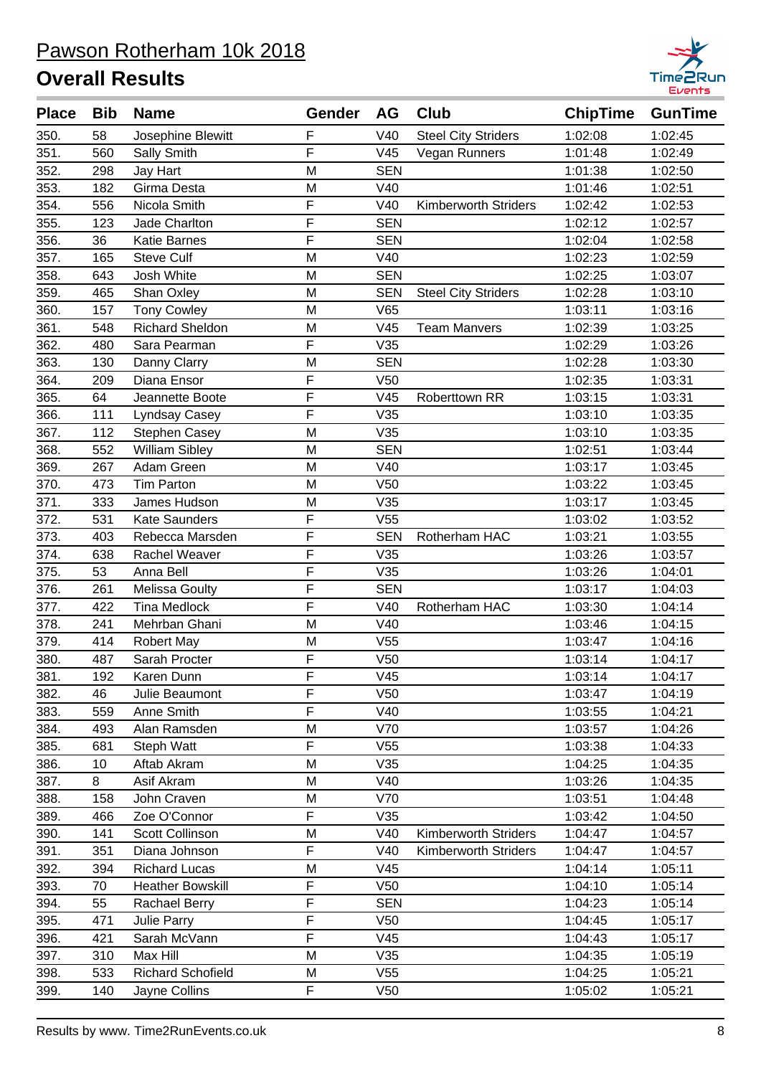

| F<br>V40<br><b>Steel City Striders</b><br>350.<br>58<br>Josephine Blewitt<br>1:02:08<br>1:02:45<br>F<br>351.<br>560<br>V45<br>1:01:48<br>1:02:49<br>Sally Smith<br>Vegan Runners<br>352.<br>298<br>Jay Hart<br>M<br><b>SEN</b><br>1:01:38<br>1:02:50<br>353.<br>M<br>V40<br>182<br>Girma Desta<br>1:01:46<br>1:02:51<br>F<br>354.<br>Nicola Smith<br>V40<br>556<br><b>Kimberworth Striders</b><br>1:02:42<br>1:02:53<br>F<br><b>SEN</b><br>355.<br>1:02:12<br>1:02:57<br>123<br>Jade Charlton<br>F<br>356.<br>36<br><b>SEN</b><br>1:02:04<br>1:02:58<br><b>Katie Barnes</b><br>357.<br><b>Steve Culf</b><br>M<br>V40<br>165<br>1:02:23<br>1:02:59<br>358.<br><b>SEN</b><br>643<br>Josh White<br>M<br>1:02:25<br>1:03:07<br>359.<br>465<br>M<br><b>SEN</b><br><b>Steel City Striders</b><br>1:02:28<br>1:03:10<br>Shan Oxley<br>V65<br>360.<br>157<br><b>Tony Cowley</b><br>M<br>1:03:11<br>1:03:16<br>361.<br><b>Richard Sheldon</b><br>M<br>V45<br><b>Team Manvers</b><br>548<br>1:02:39<br>1:03:25<br>F<br>362.<br>V35<br>1:02:29<br>1:03:26<br>480<br>Sara Pearman<br>363.<br>130<br>Danny Clarry<br>M<br><b>SEN</b><br>1:02:28<br>1:03:30<br>F<br>364.<br>Diana Ensor<br>V50<br>209<br>1:02:35<br>1:03:31<br>F<br>365.<br>64<br>V45<br>1:03:15<br>1:03:31<br>Jeannette Boote<br>Roberttown RR<br>F<br>366.<br>111<br>V35<br>1:03:10<br>1:03:35<br>Lyndsay Casey<br>367.<br>M<br>V35<br>112<br>Stephen Casey<br>1:03:10<br>1:03:35<br>William Sibley<br><b>SEN</b><br>368.<br>552<br>M<br>1:02:51<br>1:03:44<br>369.<br>267<br>Adam Green<br>M<br>V40<br>1:03:17<br>1:03:45<br>V50<br>370.<br>473<br>M<br>1:03:22<br>1:03:45<br><b>Tim Parton</b><br>371.<br>M<br>V35<br>333<br>James Hudson<br>1:03:17<br>1:03:45<br>F<br>372.<br>531<br><b>Kate Saunders</b><br>V55<br>1:03:02<br>1:03:52<br>F<br>373.<br>Rebecca Marsden<br><b>SEN</b><br>Rotherham HAC<br>1:03:21<br>1:03:55<br>403<br>F<br>V35<br>374.<br>638<br>Rachel Weaver<br>1:03:26<br>1:03:57<br>F<br>V35<br>375.<br>53<br>Anna Bell<br>1:03:26<br>1:04:01<br>F<br><b>SEN</b><br>1:04:03<br>376.<br>261<br><b>Melissa Goulty</b><br>1:03:17<br>F<br>V40<br>377.<br>422<br><b>Tina Medlock</b><br>Rotherham HAC<br>1:03:30<br>1:04:14<br>378.<br>M<br>V40<br>1:04:15<br>241<br>Mehrban Ghani<br>1:03:46<br>379.<br>414<br>V55<br>1:04:16<br><b>Robert May</b><br>M<br>1:03:47<br>F<br>380.<br>487<br>V <sub>50</sub><br>1:03:14<br>Sarah Procter<br>1:04:17<br>F<br>381.<br>V45<br>192<br>Karen Dunn<br>1:03:14<br>1:04:17<br>F<br>382.<br>46<br>V <sub>50</sub><br>1:03:47<br>1:04:19<br>Julie Beaumont<br>F<br>383.<br>559<br>Anne Smith<br>V40<br>1:03:55<br>1:04:21<br>384.<br>493<br>Alan Ramsden<br>M<br>V70<br>1:03:57<br>1:04:26<br>F<br>385.<br>681<br>V55<br>Steph Watt<br>1:03:38<br>1:04:33<br>386.<br>M<br>V35<br>10<br>Aftab Akram<br>1:04:25<br>1:04:35<br>387.<br>8<br>M<br>V40<br>1:04:35<br>Asif Akram<br>1:03:26<br>388.<br>V70<br>158<br>John Craven<br>M<br>1:03:51<br>1:04:48<br>F<br>389.<br>V35<br>466<br>Zoe O'Connor<br>1:03:42<br>1:04:50<br>390.<br>141<br>Scott Collinson<br>M<br>V40<br><b>Kimberworth Striders</b><br>1:04:47<br>1:04:57<br>F<br>391.<br>351<br>Diana Johnson<br>V40<br><b>Kimberworth Striders</b><br>1:04:47<br>1:04:57<br>392.<br>394<br>M<br>V45<br><b>Richard Lucas</b><br>1:04:14<br>1:05:11<br>F<br>393.<br>V50<br>70<br><b>Heather Bowskill</b><br>1:04:10<br>1:05:14<br>F<br><b>SEN</b><br>55<br>1:04:23<br>1:05:14<br>394.<br>Rachael Berry<br>F<br>395.<br>V50<br>1:04:45<br>1:05:17<br>471<br>Julie Parry<br>F<br>396.<br>421<br>V45<br>Sarah McVann<br>1:04:43<br>1:05:17<br>M<br>V35<br>397.<br>310<br>Max Hill<br>1:04:35<br>1:05:19<br>533<br>M<br>398.<br><b>Richard Schofield</b><br>V55<br>1:04:25<br>1:05:21<br>F<br>399.<br>140<br>Jayne Collins<br>V <sub>50</sub><br>1:05:02<br>1:05:21 | <b>Place</b> | <b>Bib</b> | <b>Name</b> | Gender | AG | <b>Club</b> | <b>ChipTime</b> | <b>GunTime</b> |
|-----------------------------------------------------------------------------------------------------------------------------------------------------------------------------------------------------------------------------------------------------------------------------------------------------------------------------------------------------------------------------------------------------------------------------------------------------------------------------------------------------------------------------------------------------------------------------------------------------------------------------------------------------------------------------------------------------------------------------------------------------------------------------------------------------------------------------------------------------------------------------------------------------------------------------------------------------------------------------------------------------------------------------------------------------------------------------------------------------------------------------------------------------------------------------------------------------------------------------------------------------------------------------------------------------------------------------------------------------------------------------------------------------------------------------------------------------------------------------------------------------------------------------------------------------------------------------------------------------------------------------------------------------------------------------------------------------------------------------------------------------------------------------------------------------------------------------------------------------------------------------------------------------------------------------------------------------------------------------------------------------------------------------------------------------------------------------------------------------------------------------------------------------------------------------------------------------------------------------------------------------------------------------------------------------------------------------------------------------------------------------------------------------------------------------------------------------------------------------------------------------------------------------------------------------------------------------------------------------------------------------------------------------------------------------------------------------------------------------------------------------------------------------------------------------------------------------------------------------------------------------------------------------------------------------------------------------------------------------------------------------------------------------------------------------------------------------------------------------------------------------------------------------------------------------------------------------------------------------------------------------------------------------------------------------------------------------------------------------------------------------------------------------------------------------------------------------------------------------------------------------------------------------------------------------------------------------------------------------------------------------------------------------------------------------------------------------------------------------------------------------------------------------------------------------------------------------|--------------|------------|-------------|--------|----|-------------|-----------------|----------------|
|                                                                                                                                                                                                                                                                                                                                                                                                                                                                                                                                                                                                                                                                                                                                                                                                                                                                                                                                                                                                                                                                                                                                                                                                                                                                                                                                                                                                                                                                                                                                                                                                                                                                                                                                                                                                                                                                                                                                                                                                                                                                                                                                                                                                                                                                                                                                                                                                                                                                                                                                                                                                                                                                                                                                                                                                                                                                                                                                                                                                                                                                                                                                                                                                                                                                                                                                                                                                                                                                                                                                                                                                                                                                                                                                                                                                                             |              |            |             |        |    |             |                 |                |
|                                                                                                                                                                                                                                                                                                                                                                                                                                                                                                                                                                                                                                                                                                                                                                                                                                                                                                                                                                                                                                                                                                                                                                                                                                                                                                                                                                                                                                                                                                                                                                                                                                                                                                                                                                                                                                                                                                                                                                                                                                                                                                                                                                                                                                                                                                                                                                                                                                                                                                                                                                                                                                                                                                                                                                                                                                                                                                                                                                                                                                                                                                                                                                                                                                                                                                                                                                                                                                                                                                                                                                                                                                                                                                                                                                                                                             |              |            |             |        |    |             |                 |                |
|                                                                                                                                                                                                                                                                                                                                                                                                                                                                                                                                                                                                                                                                                                                                                                                                                                                                                                                                                                                                                                                                                                                                                                                                                                                                                                                                                                                                                                                                                                                                                                                                                                                                                                                                                                                                                                                                                                                                                                                                                                                                                                                                                                                                                                                                                                                                                                                                                                                                                                                                                                                                                                                                                                                                                                                                                                                                                                                                                                                                                                                                                                                                                                                                                                                                                                                                                                                                                                                                                                                                                                                                                                                                                                                                                                                                                             |              |            |             |        |    |             |                 |                |
|                                                                                                                                                                                                                                                                                                                                                                                                                                                                                                                                                                                                                                                                                                                                                                                                                                                                                                                                                                                                                                                                                                                                                                                                                                                                                                                                                                                                                                                                                                                                                                                                                                                                                                                                                                                                                                                                                                                                                                                                                                                                                                                                                                                                                                                                                                                                                                                                                                                                                                                                                                                                                                                                                                                                                                                                                                                                                                                                                                                                                                                                                                                                                                                                                                                                                                                                                                                                                                                                                                                                                                                                                                                                                                                                                                                                                             |              |            |             |        |    |             |                 |                |
|                                                                                                                                                                                                                                                                                                                                                                                                                                                                                                                                                                                                                                                                                                                                                                                                                                                                                                                                                                                                                                                                                                                                                                                                                                                                                                                                                                                                                                                                                                                                                                                                                                                                                                                                                                                                                                                                                                                                                                                                                                                                                                                                                                                                                                                                                                                                                                                                                                                                                                                                                                                                                                                                                                                                                                                                                                                                                                                                                                                                                                                                                                                                                                                                                                                                                                                                                                                                                                                                                                                                                                                                                                                                                                                                                                                                                             |              |            |             |        |    |             |                 |                |
|                                                                                                                                                                                                                                                                                                                                                                                                                                                                                                                                                                                                                                                                                                                                                                                                                                                                                                                                                                                                                                                                                                                                                                                                                                                                                                                                                                                                                                                                                                                                                                                                                                                                                                                                                                                                                                                                                                                                                                                                                                                                                                                                                                                                                                                                                                                                                                                                                                                                                                                                                                                                                                                                                                                                                                                                                                                                                                                                                                                                                                                                                                                                                                                                                                                                                                                                                                                                                                                                                                                                                                                                                                                                                                                                                                                                                             |              |            |             |        |    |             |                 |                |
|                                                                                                                                                                                                                                                                                                                                                                                                                                                                                                                                                                                                                                                                                                                                                                                                                                                                                                                                                                                                                                                                                                                                                                                                                                                                                                                                                                                                                                                                                                                                                                                                                                                                                                                                                                                                                                                                                                                                                                                                                                                                                                                                                                                                                                                                                                                                                                                                                                                                                                                                                                                                                                                                                                                                                                                                                                                                                                                                                                                                                                                                                                                                                                                                                                                                                                                                                                                                                                                                                                                                                                                                                                                                                                                                                                                                                             |              |            |             |        |    |             |                 |                |
|                                                                                                                                                                                                                                                                                                                                                                                                                                                                                                                                                                                                                                                                                                                                                                                                                                                                                                                                                                                                                                                                                                                                                                                                                                                                                                                                                                                                                                                                                                                                                                                                                                                                                                                                                                                                                                                                                                                                                                                                                                                                                                                                                                                                                                                                                                                                                                                                                                                                                                                                                                                                                                                                                                                                                                                                                                                                                                                                                                                                                                                                                                                                                                                                                                                                                                                                                                                                                                                                                                                                                                                                                                                                                                                                                                                                                             |              |            |             |        |    |             |                 |                |
|                                                                                                                                                                                                                                                                                                                                                                                                                                                                                                                                                                                                                                                                                                                                                                                                                                                                                                                                                                                                                                                                                                                                                                                                                                                                                                                                                                                                                                                                                                                                                                                                                                                                                                                                                                                                                                                                                                                                                                                                                                                                                                                                                                                                                                                                                                                                                                                                                                                                                                                                                                                                                                                                                                                                                                                                                                                                                                                                                                                                                                                                                                                                                                                                                                                                                                                                                                                                                                                                                                                                                                                                                                                                                                                                                                                                                             |              |            |             |        |    |             |                 |                |
|                                                                                                                                                                                                                                                                                                                                                                                                                                                                                                                                                                                                                                                                                                                                                                                                                                                                                                                                                                                                                                                                                                                                                                                                                                                                                                                                                                                                                                                                                                                                                                                                                                                                                                                                                                                                                                                                                                                                                                                                                                                                                                                                                                                                                                                                                                                                                                                                                                                                                                                                                                                                                                                                                                                                                                                                                                                                                                                                                                                                                                                                                                                                                                                                                                                                                                                                                                                                                                                                                                                                                                                                                                                                                                                                                                                                                             |              |            |             |        |    |             |                 |                |
|                                                                                                                                                                                                                                                                                                                                                                                                                                                                                                                                                                                                                                                                                                                                                                                                                                                                                                                                                                                                                                                                                                                                                                                                                                                                                                                                                                                                                                                                                                                                                                                                                                                                                                                                                                                                                                                                                                                                                                                                                                                                                                                                                                                                                                                                                                                                                                                                                                                                                                                                                                                                                                                                                                                                                                                                                                                                                                                                                                                                                                                                                                                                                                                                                                                                                                                                                                                                                                                                                                                                                                                                                                                                                                                                                                                                                             |              |            |             |        |    |             |                 |                |
|                                                                                                                                                                                                                                                                                                                                                                                                                                                                                                                                                                                                                                                                                                                                                                                                                                                                                                                                                                                                                                                                                                                                                                                                                                                                                                                                                                                                                                                                                                                                                                                                                                                                                                                                                                                                                                                                                                                                                                                                                                                                                                                                                                                                                                                                                                                                                                                                                                                                                                                                                                                                                                                                                                                                                                                                                                                                                                                                                                                                                                                                                                                                                                                                                                                                                                                                                                                                                                                                                                                                                                                                                                                                                                                                                                                                                             |              |            |             |        |    |             |                 |                |
|                                                                                                                                                                                                                                                                                                                                                                                                                                                                                                                                                                                                                                                                                                                                                                                                                                                                                                                                                                                                                                                                                                                                                                                                                                                                                                                                                                                                                                                                                                                                                                                                                                                                                                                                                                                                                                                                                                                                                                                                                                                                                                                                                                                                                                                                                                                                                                                                                                                                                                                                                                                                                                                                                                                                                                                                                                                                                                                                                                                                                                                                                                                                                                                                                                                                                                                                                                                                                                                                                                                                                                                                                                                                                                                                                                                                                             |              |            |             |        |    |             |                 |                |
|                                                                                                                                                                                                                                                                                                                                                                                                                                                                                                                                                                                                                                                                                                                                                                                                                                                                                                                                                                                                                                                                                                                                                                                                                                                                                                                                                                                                                                                                                                                                                                                                                                                                                                                                                                                                                                                                                                                                                                                                                                                                                                                                                                                                                                                                                                                                                                                                                                                                                                                                                                                                                                                                                                                                                                                                                                                                                                                                                                                                                                                                                                                                                                                                                                                                                                                                                                                                                                                                                                                                                                                                                                                                                                                                                                                                                             |              |            |             |        |    |             |                 |                |
|                                                                                                                                                                                                                                                                                                                                                                                                                                                                                                                                                                                                                                                                                                                                                                                                                                                                                                                                                                                                                                                                                                                                                                                                                                                                                                                                                                                                                                                                                                                                                                                                                                                                                                                                                                                                                                                                                                                                                                                                                                                                                                                                                                                                                                                                                                                                                                                                                                                                                                                                                                                                                                                                                                                                                                                                                                                                                                                                                                                                                                                                                                                                                                                                                                                                                                                                                                                                                                                                                                                                                                                                                                                                                                                                                                                                                             |              |            |             |        |    |             |                 |                |
|                                                                                                                                                                                                                                                                                                                                                                                                                                                                                                                                                                                                                                                                                                                                                                                                                                                                                                                                                                                                                                                                                                                                                                                                                                                                                                                                                                                                                                                                                                                                                                                                                                                                                                                                                                                                                                                                                                                                                                                                                                                                                                                                                                                                                                                                                                                                                                                                                                                                                                                                                                                                                                                                                                                                                                                                                                                                                                                                                                                                                                                                                                                                                                                                                                                                                                                                                                                                                                                                                                                                                                                                                                                                                                                                                                                                                             |              |            |             |        |    |             |                 |                |
|                                                                                                                                                                                                                                                                                                                                                                                                                                                                                                                                                                                                                                                                                                                                                                                                                                                                                                                                                                                                                                                                                                                                                                                                                                                                                                                                                                                                                                                                                                                                                                                                                                                                                                                                                                                                                                                                                                                                                                                                                                                                                                                                                                                                                                                                                                                                                                                                                                                                                                                                                                                                                                                                                                                                                                                                                                                                                                                                                                                                                                                                                                                                                                                                                                                                                                                                                                                                                                                                                                                                                                                                                                                                                                                                                                                                                             |              |            |             |        |    |             |                 |                |
|                                                                                                                                                                                                                                                                                                                                                                                                                                                                                                                                                                                                                                                                                                                                                                                                                                                                                                                                                                                                                                                                                                                                                                                                                                                                                                                                                                                                                                                                                                                                                                                                                                                                                                                                                                                                                                                                                                                                                                                                                                                                                                                                                                                                                                                                                                                                                                                                                                                                                                                                                                                                                                                                                                                                                                                                                                                                                                                                                                                                                                                                                                                                                                                                                                                                                                                                                                                                                                                                                                                                                                                                                                                                                                                                                                                                                             |              |            |             |        |    |             |                 |                |
|                                                                                                                                                                                                                                                                                                                                                                                                                                                                                                                                                                                                                                                                                                                                                                                                                                                                                                                                                                                                                                                                                                                                                                                                                                                                                                                                                                                                                                                                                                                                                                                                                                                                                                                                                                                                                                                                                                                                                                                                                                                                                                                                                                                                                                                                                                                                                                                                                                                                                                                                                                                                                                                                                                                                                                                                                                                                                                                                                                                                                                                                                                                                                                                                                                                                                                                                                                                                                                                                                                                                                                                                                                                                                                                                                                                                                             |              |            |             |        |    |             |                 |                |
|                                                                                                                                                                                                                                                                                                                                                                                                                                                                                                                                                                                                                                                                                                                                                                                                                                                                                                                                                                                                                                                                                                                                                                                                                                                                                                                                                                                                                                                                                                                                                                                                                                                                                                                                                                                                                                                                                                                                                                                                                                                                                                                                                                                                                                                                                                                                                                                                                                                                                                                                                                                                                                                                                                                                                                                                                                                                                                                                                                                                                                                                                                                                                                                                                                                                                                                                                                                                                                                                                                                                                                                                                                                                                                                                                                                                                             |              |            |             |        |    |             |                 |                |
|                                                                                                                                                                                                                                                                                                                                                                                                                                                                                                                                                                                                                                                                                                                                                                                                                                                                                                                                                                                                                                                                                                                                                                                                                                                                                                                                                                                                                                                                                                                                                                                                                                                                                                                                                                                                                                                                                                                                                                                                                                                                                                                                                                                                                                                                                                                                                                                                                                                                                                                                                                                                                                                                                                                                                                                                                                                                                                                                                                                                                                                                                                                                                                                                                                                                                                                                                                                                                                                                                                                                                                                                                                                                                                                                                                                                                             |              |            |             |        |    |             |                 |                |
|                                                                                                                                                                                                                                                                                                                                                                                                                                                                                                                                                                                                                                                                                                                                                                                                                                                                                                                                                                                                                                                                                                                                                                                                                                                                                                                                                                                                                                                                                                                                                                                                                                                                                                                                                                                                                                                                                                                                                                                                                                                                                                                                                                                                                                                                                                                                                                                                                                                                                                                                                                                                                                                                                                                                                                                                                                                                                                                                                                                                                                                                                                                                                                                                                                                                                                                                                                                                                                                                                                                                                                                                                                                                                                                                                                                                                             |              |            |             |        |    |             |                 |                |
|                                                                                                                                                                                                                                                                                                                                                                                                                                                                                                                                                                                                                                                                                                                                                                                                                                                                                                                                                                                                                                                                                                                                                                                                                                                                                                                                                                                                                                                                                                                                                                                                                                                                                                                                                                                                                                                                                                                                                                                                                                                                                                                                                                                                                                                                                                                                                                                                                                                                                                                                                                                                                                                                                                                                                                                                                                                                                                                                                                                                                                                                                                                                                                                                                                                                                                                                                                                                                                                                                                                                                                                                                                                                                                                                                                                                                             |              |            |             |        |    |             |                 |                |
|                                                                                                                                                                                                                                                                                                                                                                                                                                                                                                                                                                                                                                                                                                                                                                                                                                                                                                                                                                                                                                                                                                                                                                                                                                                                                                                                                                                                                                                                                                                                                                                                                                                                                                                                                                                                                                                                                                                                                                                                                                                                                                                                                                                                                                                                                                                                                                                                                                                                                                                                                                                                                                                                                                                                                                                                                                                                                                                                                                                                                                                                                                                                                                                                                                                                                                                                                                                                                                                                                                                                                                                                                                                                                                                                                                                                                             |              |            |             |        |    |             |                 |                |
|                                                                                                                                                                                                                                                                                                                                                                                                                                                                                                                                                                                                                                                                                                                                                                                                                                                                                                                                                                                                                                                                                                                                                                                                                                                                                                                                                                                                                                                                                                                                                                                                                                                                                                                                                                                                                                                                                                                                                                                                                                                                                                                                                                                                                                                                                                                                                                                                                                                                                                                                                                                                                                                                                                                                                                                                                                                                                                                                                                                                                                                                                                                                                                                                                                                                                                                                                                                                                                                                                                                                                                                                                                                                                                                                                                                                                             |              |            |             |        |    |             |                 |                |
|                                                                                                                                                                                                                                                                                                                                                                                                                                                                                                                                                                                                                                                                                                                                                                                                                                                                                                                                                                                                                                                                                                                                                                                                                                                                                                                                                                                                                                                                                                                                                                                                                                                                                                                                                                                                                                                                                                                                                                                                                                                                                                                                                                                                                                                                                                                                                                                                                                                                                                                                                                                                                                                                                                                                                                                                                                                                                                                                                                                                                                                                                                                                                                                                                                                                                                                                                                                                                                                                                                                                                                                                                                                                                                                                                                                                                             |              |            |             |        |    |             |                 |                |
|                                                                                                                                                                                                                                                                                                                                                                                                                                                                                                                                                                                                                                                                                                                                                                                                                                                                                                                                                                                                                                                                                                                                                                                                                                                                                                                                                                                                                                                                                                                                                                                                                                                                                                                                                                                                                                                                                                                                                                                                                                                                                                                                                                                                                                                                                                                                                                                                                                                                                                                                                                                                                                                                                                                                                                                                                                                                                                                                                                                                                                                                                                                                                                                                                                                                                                                                                                                                                                                                                                                                                                                                                                                                                                                                                                                                                             |              |            |             |        |    |             |                 |                |
|                                                                                                                                                                                                                                                                                                                                                                                                                                                                                                                                                                                                                                                                                                                                                                                                                                                                                                                                                                                                                                                                                                                                                                                                                                                                                                                                                                                                                                                                                                                                                                                                                                                                                                                                                                                                                                                                                                                                                                                                                                                                                                                                                                                                                                                                                                                                                                                                                                                                                                                                                                                                                                                                                                                                                                                                                                                                                                                                                                                                                                                                                                                                                                                                                                                                                                                                                                                                                                                                                                                                                                                                                                                                                                                                                                                                                             |              |            |             |        |    |             |                 |                |
|                                                                                                                                                                                                                                                                                                                                                                                                                                                                                                                                                                                                                                                                                                                                                                                                                                                                                                                                                                                                                                                                                                                                                                                                                                                                                                                                                                                                                                                                                                                                                                                                                                                                                                                                                                                                                                                                                                                                                                                                                                                                                                                                                                                                                                                                                                                                                                                                                                                                                                                                                                                                                                                                                                                                                                                                                                                                                                                                                                                                                                                                                                                                                                                                                                                                                                                                                                                                                                                                                                                                                                                                                                                                                                                                                                                                                             |              |            |             |        |    |             |                 |                |
|                                                                                                                                                                                                                                                                                                                                                                                                                                                                                                                                                                                                                                                                                                                                                                                                                                                                                                                                                                                                                                                                                                                                                                                                                                                                                                                                                                                                                                                                                                                                                                                                                                                                                                                                                                                                                                                                                                                                                                                                                                                                                                                                                                                                                                                                                                                                                                                                                                                                                                                                                                                                                                                                                                                                                                                                                                                                                                                                                                                                                                                                                                                                                                                                                                                                                                                                                                                                                                                                                                                                                                                                                                                                                                                                                                                                                             |              |            |             |        |    |             |                 |                |
|                                                                                                                                                                                                                                                                                                                                                                                                                                                                                                                                                                                                                                                                                                                                                                                                                                                                                                                                                                                                                                                                                                                                                                                                                                                                                                                                                                                                                                                                                                                                                                                                                                                                                                                                                                                                                                                                                                                                                                                                                                                                                                                                                                                                                                                                                                                                                                                                                                                                                                                                                                                                                                                                                                                                                                                                                                                                                                                                                                                                                                                                                                                                                                                                                                                                                                                                                                                                                                                                                                                                                                                                                                                                                                                                                                                                                             |              |            |             |        |    |             |                 |                |
|                                                                                                                                                                                                                                                                                                                                                                                                                                                                                                                                                                                                                                                                                                                                                                                                                                                                                                                                                                                                                                                                                                                                                                                                                                                                                                                                                                                                                                                                                                                                                                                                                                                                                                                                                                                                                                                                                                                                                                                                                                                                                                                                                                                                                                                                                                                                                                                                                                                                                                                                                                                                                                                                                                                                                                                                                                                                                                                                                                                                                                                                                                                                                                                                                                                                                                                                                                                                                                                                                                                                                                                                                                                                                                                                                                                                                             |              |            |             |        |    |             |                 |                |
|                                                                                                                                                                                                                                                                                                                                                                                                                                                                                                                                                                                                                                                                                                                                                                                                                                                                                                                                                                                                                                                                                                                                                                                                                                                                                                                                                                                                                                                                                                                                                                                                                                                                                                                                                                                                                                                                                                                                                                                                                                                                                                                                                                                                                                                                                                                                                                                                                                                                                                                                                                                                                                                                                                                                                                                                                                                                                                                                                                                                                                                                                                                                                                                                                                                                                                                                                                                                                                                                                                                                                                                                                                                                                                                                                                                                                             |              |            |             |        |    |             |                 |                |
|                                                                                                                                                                                                                                                                                                                                                                                                                                                                                                                                                                                                                                                                                                                                                                                                                                                                                                                                                                                                                                                                                                                                                                                                                                                                                                                                                                                                                                                                                                                                                                                                                                                                                                                                                                                                                                                                                                                                                                                                                                                                                                                                                                                                                                                                                                                                                                                                                                                                                                                                                                                                                                                                                                                                                                                                                                                                                                                                                                                                                                                                                                                                                                                                                                                                                                                                                                                                                                                                                                                                                                                                                                                                                                                                                                                                                             |              |            |             |        |    |             |                 |                |
|                                                                                                                                                                                                                                                                                                                                                                                                                                                                                                                                                                                                                                                                                                                                                                                                                                                                                                                                                                                                                                                                                                                                                                                                                                                                                                                                                                                                                                                                                                                                                                                                                                                                                                                                                                                                                                                                                                                                                                                                                                                                                                                                                                                                                                                                                                                                                                                                                                                                                                                                                                                                                                                                                                                                                                                                                                                                                                                                                                                                                                                                                                                                                                                                                                                                                                                                                                                                                                                                                                                                                                                                                                                                                                                                                                                                                             |              |            |             |        |    |             |                 |                |
|                                                                                                                                                                                                                                                                                                                                                                                                                                                                                                                                                                                                                                                                                                                                                                                                                                                                                                                                                                                                                                                                                                                                                                                                                                                                                                                                                                                                                                                                                                                                                                                                                                                                                                                                                                                                                                                                                                                                                                                                                                                                                                                                                                                                                                                                                                                                                                                                                                                                                                                                                                                                                                                                                                                                                                                                                                                                                                                                                                                                                                                                                                                                                                                                                                                                                                                                                                                                                                                                                                                                                                                                                                                                                                                                                                                                                             |              |            |             |        |    |             |                 |                |
|                                                                                                                                                                                                                                                                                                                                                                                                                                                                                                                                                                                                                                                                                                                                                                                                                                                                                                                                                                                                                                                                                                                                                                                                                                                                                                                                                                                                                                                                                                                                                                                                                                                                                                                                                                                                                                                                                                                                                                                                                                                                                                                                                                                                                                                                                                                                                                                                                                                                                                                                                                                                                                                                                                                                                                                                                                                                                                                                                                                                                                                                                                                                                                                                                                                                                                                                                                                                                                                                                                                                                                                                                                                                                                                                                                                                                             |              |            |             |        |    |             |                 |                |
|                                                                                                                                                                                                                                                                                                                                                                                                                                                                                                                                                                                                                                                                                                                                                                                                                                                                                                                                                                                                                                                                                                                                                                                                                                                                                                                                                                                                                                                                                                                                                                                                                                                                                                                                                                                                                                                                                                                                                                                                                                                                                                                                                                                                                                                                                                                                                                                                                                                                                                                                                                                                                                                                                                                                                                                                                                                                                                                                                                                                                                                                                                                                                                                                                                                                                                                                                                                                                                                                                                                                                                                                                                                                                                                                                                                                                             |              |            |             |        |    |             |                 |                |
|                                                                                                                                                                                                                                                                                                                                                                                                                                                                                                                                                                                                                                                                                                                                                                                                                                                                                                                                                                                                                                                                                                                                                                                                                                                                                                                                                                                                                                                                                                                                                                                                                                                                                                                                                                                                                                                                                                                                                                                                                                                                                                                                                                                                                                                                                                                                                                                                                                                                                                                                                                                                                                                                                                                                                                                                                                                                                                                                                                                                                                                                                                                                                                                                                                                                                                                                                                                                                                                                                                                                                                                                                                                                                                                                                                                                                             |              |            |             |        |    |             |                 |                |
|                                                                                                                                                                                                                                                                                                                                                                                                                                                                                                                                                                                                                                                                                                                                                                                                                                                                                                                                                                                                                                                                                                                                                                                                                                                                                                                                                                                                                                                                                                                                                                                                                                                                                                                                                                                                                                                                                                                                                                                                                                                                                                                                                                                                                                                                                                                                                                                                                                                                                                                                                                                                                                                                                                                                                                                                                                                                                                                                                                                                                                                                                                                                                                                                                                                                                                                                                                                                                                                                                                                                                                                                                                                                                                                                                                                                                             |              |            |             |        |    |             |                 |                |
|                                                                                                                                                                                                                                                                                                                                                                                                                                                                                                                                                                                                                                                                                                                                                                                                                                                                                                                                                                                                                                                                                                                                                                                                                                                                                                                                                                                                                                                                                                                                                                                                                                                                                                                                                                                                                                                                                                                                                                                                                                                                                                                                                                                                                                                                                                                                                                                                                                                                                                                                                                                                                                                                                                                                                                                                                                                                                                                                                                                                                                                                                                                                                                                                                                                                                                                                                                                                                                                                                                                                                                                                                                                                                                                                                                                                                             |              |            |             |        |    |             |                 |                |
|                                                                                                                                                                                                                                                                                                                                                                                                                                                                                                                                                                                                                                                                                                                                                                                                                                                                                                                                                                                                                                                                                                                                                                                                                                                                                                                                                                                                                                                                                                                                                                                                                                                                                                                                                                                                                                                                                                                                                                                                                                                                                                                                                                                                                                                                                                                                                                                                                                                                                                                                                                                                                                                                                                                                                                                                                                                                                                                                                                                                                                                                                                                                                                                                                                                                                                                                                                                                                                                                                                                                                                                                                                                                                                                                                                                                                             |              |            |             |        |    |             |                 |                |
|                                                                                                                                                                                                                                                                                                                                                                                                                                                                                                                                                                                                                                                                                                                                                                                                                                                                                                                                                                                                                                                                                                                                                                                                                                                                                                                                                                                                                                                                                                                                                                                                                                                                                                                                                                                                                                                                                                                                                                                                                                                                                                                                                                                                                                                                                                                                                                                                                                                                                                                                                                                                                                                                                                                                                                                                                                                                                                                                                                                                                                                                                                                                                                                                                                                                                                                                                                                                                                                                                                                                                                                                                                                                                                                                                                                                                             |              |            |             |        |    |             |                 |                |
|                                                                                                                                                                                                                                                                                                                                                                                                                                                                                                                                                                                                                                                                                                                                                                                                                                                                                                                                                                                                                                                                                                                                                                                                                                                                                                                                                                                                                                                                                                                                                                                                                                                                                                                                                                                                                                                                                                                                                                                                                                                                                                                                                                                                                                                                                                                                                                                                                                                                                                                                                                                                                                                                                                                                                                                                                                                                                                                                                                                                                                                                                                                                                                                                                                                                                                                                                                                                                                                                                                                                                                                                                                                                                                                                                                                                                             |              |            |             |        |    |             |                 |                |
|                                                                                                                                                                                                                                                                                                                                                                                                                                                                                                                                                                                                                                                                                                                                                                                                                                                                                                                                                                                                                                                                                                                                                                                                                                                                                                                                                                                                                                                                                                                                                                                                                                                                                                                                                                                                                                                                                                                                                                                                                                                                                                                                                                                                                                                                                                                                                                                                                                                                                                                                                                                                                                                                                                                                                                                                                                                                                                                                                                                                                                                                                                                                                                                                                                                                                                                                                                                                                                                                                                                                                                                                                                                                                                                                                                                                                             |              |            |             |        |    |             |                 |                |
|                                                                                                                                                                                                                                                                                                                                                                                                                                                                                                                                                                                                                                                                                                                                                                                                                                                                                                                                                                                                                                                                                                                                                                                                                                                                                                                                                                                                                                                                                                                                                                                                                                                                                                                                                                                                                                                                                                                                                                                                                                                                                                                                                                                                                                                                                                                                                                                                                                                                                                                                                                                                                                                                                                                                                                                                                                                                                                                                                                                                                                                                                                                                                                                                                                                                                                                                                                                                                                                                                                                                                                                                                                                                                                                                                                                                                             |              |            |             |        |    |             |                 |                |
|                                                                                                                                                                                                                                                                                                                                                                                                                                                                                                                                                                                                                                                                                                                                                                                                                                                                                                                                                                                                                                                                                                                                                                                                                                                                                                                                                                                                                                                                                                                                                                                                                                                                                                                                                                                                                                                                                                                                                                                                                                                                                                                                                                                                                                                                                                                                                                                                                                                                                                                                                                                                                                                                                                                                                                                                                                                                                                                                                                                                                                                                                                                                                                                                                                                                                                                                                                                                                                                                                                                                                                                                                                                                                                                                                                                                                             |              |            |             |        |    |             |                 |                |
|                                                                                                                                                                                                                                                                                                                                                                                                                                                                                                                                                                                                                                                                                                                                                                                                                                                                                                                                                                                                                                                                                                                                                                                                                                                                                                                                                                                                                                                                                                                                                                                                                                                                                                                                                                                                                                                                                                                                                                                                                                                                                                                                                                                                                                                                                                                                                                                                                                                                                                                                                                                                                                                                                                                                                                                                                                                                                                                                                                                                                                                                                                                                                                                                                                                                                                                                                                                                                                                                                                                                                                                                                                                                                                                                                                                                                             |              |            |             |        |    |             |                 |                |
|                                                                                                                                                                                                                                                                                                                                                                                                                                                                                                                                                                                                                                                                                                                                                                                                                                                                                                                                                                                                                                                                                                                                                                                                                                                                                                                                                                                                                                                                                                                                                                                                                                                                                                                                                                                                                                                                                                                                                                                                                                                                                                                                                                                                                                                                                                                                                                                                                                                                                                                                                                                                                                                                                                                                                                                                                                                                                                                                                                                                                                                                                                                                                                                                                                                                                                                                                                                                                                                                                                                                                                                                                                                                                                                                                                                                                             |              |            |             |        |    |             |                 |                |
|                                                                                                                                                                                                                                                                                                                                                                                                                                                                                                                                                                                                                                                                                                                                                                                                                                                                                                                                                                                                                                                                                                                                                                                                                                                                                                                                                                                                                                                                                                                                                                                                                                                                                                                                                                                                                                                                                                                                                                                                                                                                                                                                                                                                                                                                                                                                                                                                                                                                                                                                                                                                                                                                                                                                                                                                                                                                                                                                                                                                                                                                                                                                                                                                                                                                                                                                                                                                                                                                                                                                                                                                                                                                                                                                                                                                                             |              |            |             |        |    |             |                 |                |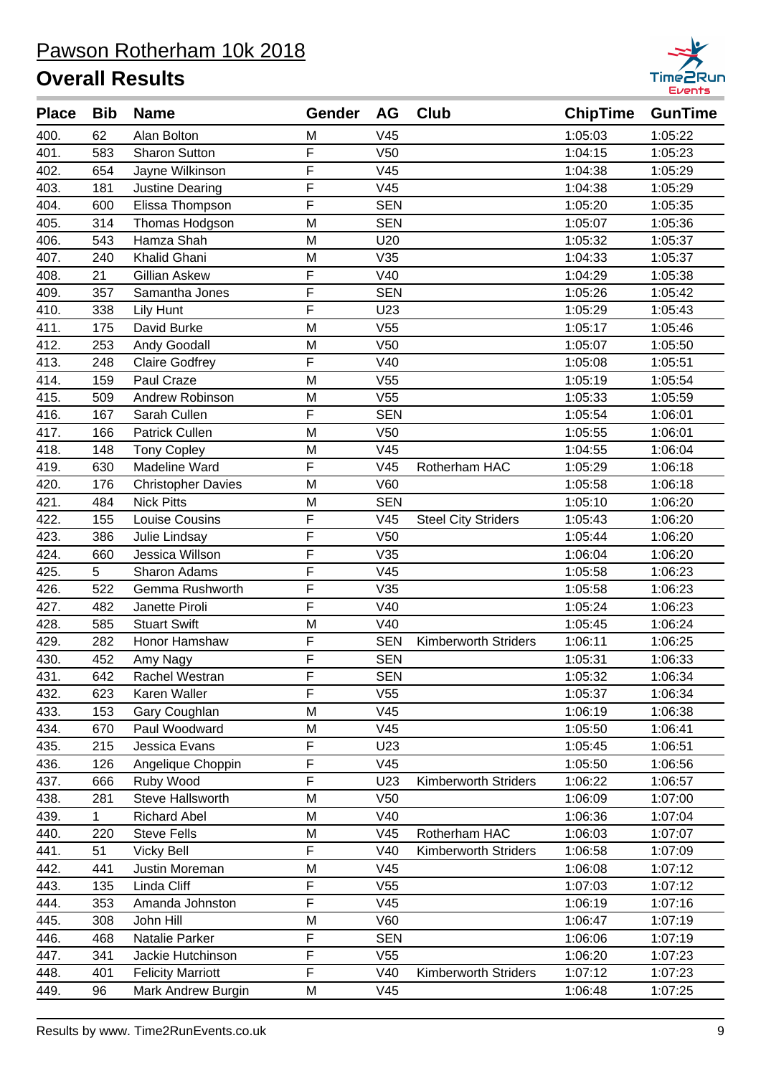

| <b>Place</b> | <b>Bib</b> | <b>Name</b>               | Gender         | AG              | Club                        | <b>ChipTime</b> | <b>GunTime</b> |
|--------------|------------|---------------------------|----------------|-----------------|-----------------------------|-----------------|----------------|
| 400.         | 62         | Alan Bolton               | M              | V45             |                             | 1:05:03         | 1:05:22        |
| 401.         | 583        | <b>Sharon Sutton</b>      | F              | V <sub>50</sub> |                             | 1:04:15         | 1:05:23        |
| 402.         | 654        | Jayne Wilkinson           | F              | V45             |                             | 1:04:38         | 1:05:29        |
| 403.         | 181        | Justine Dearing           | F              | V45             |                             | 1:04:38         | 1:05:29        |
| 404.         | 600        | Elissa Thompson           | F              | <b>SEN</b>      |                             | 1:05:20         | 1:05:35        |
| 405.         | 314        | Thomas Hodgson            | M              | <b>SEN</b>      |                             | 1:05:07         | 1:05:36        |
| 406.         | 543        | Hamza Shah                | M              | U20             |                             | 1:05:32         | 1:05:37        |
| 407.         | 240        | Khalid Ghani              | M              | V35             |                             | 1:04:33         | 1:05:37        |
| 408.         | 21         | Gillian Askew             | F              | V40             |                             | 1:04:29         | 1:05:38        |
| 409.         | 357        | Samantha Jones            | F              | <b>SEN</b>      |                             | 1:05:26         | 1:05:42        |
| 410.         | 338        | Lily Hunt                 | F              | U23             |                             | 1:05:29         | 1:05:43        |
| 411.         | 175        | David Burke               | M              | V <sub>55</sub> |                             | 1:05:17         | 1:05:46        |
| 412.         | 253        | Andy Goodall              | M              | V <sub>50</sub> |                             | 1:05:07         | 1:05:50        |
| 413.         | 248        | <b>Claire Godfrey</b>     | F              | V40             |                             | 1:05:08         | 1:05:51        |
| 414.         | 159        | Paul Craze                | M              | V <sub>55</sub> |                             | 1:05:19         | 1:05:54        |
| 415.         | 509        | Andrew Robinson           | M              | V <sub>55</sub> |                             | 1:05:33         | 1:05:59        |
| 416.         | 167        | Sarah Cullen              | F              | <b>SEN</b>      |                             | 1:05:54         | 1:06:01        |
| 417.         | 166        | <b>Patrick Cullen</b>     | M              | V <sub>50</sub> |                             | 1:05:55         | 1:06:01        |
| 418.         | 148        | <b>Tony Copley</b>        | M              | V45             |                             | 1:04:55         | 1:06:04        |
| 419.         | 630        | Madeline Ward             | F              | V45             | Rotherham HAC               | 1:05:29         | 1:06:18        |
| 420.         | 176        | <b>Christopher Davies</b> | M              | <b>V60</b>      |                             | 1:05:58         | 1:06:18        |
| 421.         | 484        | <b>Nick Pitts</b>         | M              | <b>SEN</b>      |                             | 1:05:10         | 1:06:20        |
| 422.         | 155        | Louise Cousins            | F              | V45             | <b>Steel City Striders</b>  | 1:05:43         | 1:06:20        |
| 423.         | 386        | Julie Lindsay             | F              | V <sub>50</sub> |                             | 1:05:44         | 1:06:20        |
| 424.         | 660        | Jessica Willson           | $\overline{F}$ | V35             |                             | 1:06:04         | 1:06:20        |
| 425.         | 5          | Sharon Adams              | F              | V45             |                             | 1:05:58         | 1:06:23        |
| 426.         | 522        | Gemma Rushworth           | F              | V35             |                             | 1:05:58         | 1:06:23        |
| 427.         | 482        | Janette Piroli            | F              | V40             |                             | 1:05:24         | 1:06:23        |
| 428.         | 585        | <b>Stuart Swift</b>       | M              | V40             |                             | 1:05:45         | 1:06:24        |
| 429.         | 282        | Honor Hamshaw             | F              | <b>SEN</b>      | Kimberworth Striders        | 1:06:11         | 1:06:25        |
| 430.         | 452        | Amy Nagy                  | F              | <b>SEN</b>      |                             | 1:05:31         | 1:06:33        |
| 431.         | 642        | Rachel Westran            | F              | <b>SEN</b>      |                             | 1:05:32         | 1:06:34        |
| 432.         | 623        | Karen Waller              | F              | V <sub>55</sub> |                             | 1:05:37         | 1:06:34        |
| 433.         | 153        | Gary Coughlan             | M              | V45             |                             | 1:06:19         | 1:06:38        |
| 434.         | 670        | Paul Woodward             | M              | V45             |                             | 1:05:50         | 1:06:41        |
| 435.         | 215        | Jessica Evans             | F              | U23             |                             | 1:05:45         | 1:06:51        |
| 436.         | 126        | Angelique Choppin         | F              | V45             |                             | 1:05:50         | 1:06:56        |
| 437.         | 666        | Ruby Wood                 | F              | U23             | Kimberworth Striders        | 1:06:22         | 1:06:57        |
| 438.         | 281        | <b>Steve Hallsworth</b>   | M              | V <sub>50</sub> |                             | 1:06:09         | 1:07:00        |
| 439.         | 1          | <b>Richard Abel</b>       | M              | V40             |                             | 1:06:36         | 1:07:04        |
| 440.         | 220        | <b>Steve Fells</b>        | M              | V45             | Rotherham HAC               | 1:06:03         | 1:07:07        |
| 441.         | 51         | <b>Vicky Bell</b>         | F              | V40             | <b>Kimberworth Striders</b> | 1:06:58         | 1:07:09        |
| 442.         | 441        | Justin Moreman            | M              | V45             |                             | 1:06:08         | 1:07:12        |
| 443.         | 135        | Linda Cliff               | F              | V <sub>55</sub> |                             | 1:07:03         | 1:07:12        |
| 444.         | 353        | Amanda Johnston           | F              | V45             |                             | 1:06:19         | 1:07:16        |
| 445.         | 308        | John Hill                 | M              | V60             |                             | 1:06:47         | 1:07:19        |
| 446.         | 468        | Natalie Parker            | F              | <b>SEN</b>      |                             | 1:06:06         | 1:07:19        |
| 447.         | 341        | Jackie Hutchinson         | F              | V <sub>55</sub> |                             | 1:06:20         | 1:07:23        |
| 448.         | 401        | <b>Felicity Marriott</b>  | F              | V40             | <b>Kimberworth Striders</b> | 1:07:12         | 1:07:23        |
| 449.         | 96         | Mark Andrew Burgin        | M              | V45             |                             | 1:06:48         | 1:07:25        |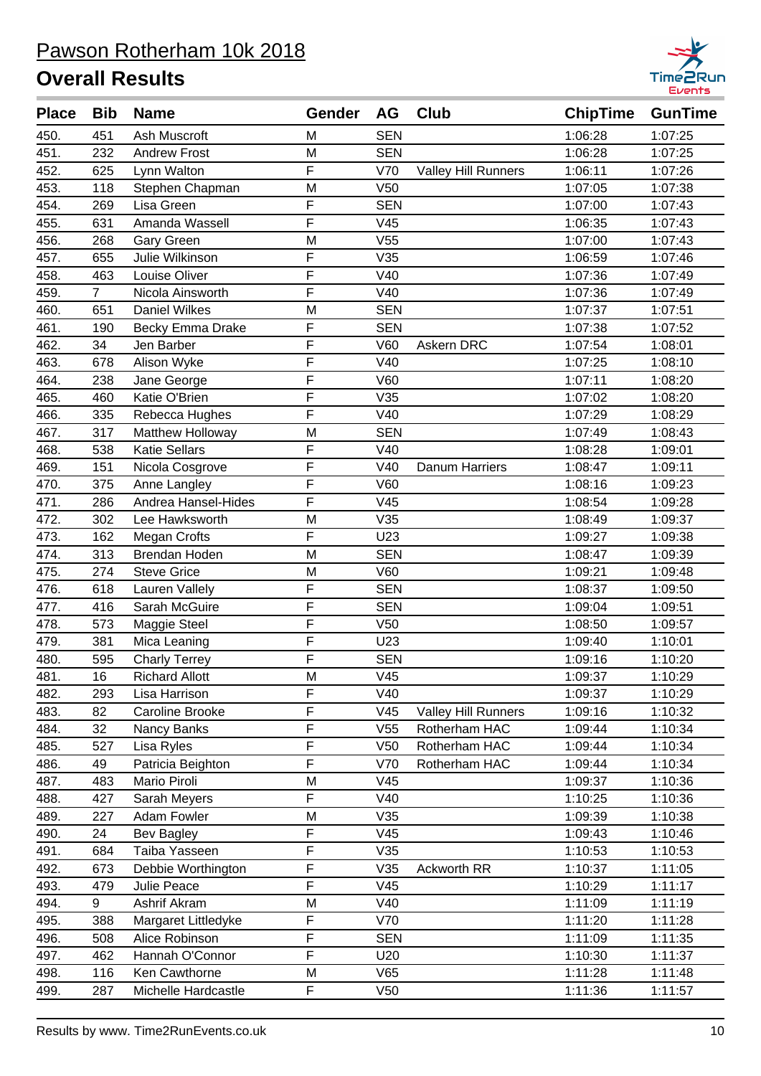

| <b>Place</b> | <b>Bib</b>     | <b>Name</b>           | Gender | AG              | <b>Club</b>                | <b>ChipTime</b> | <b>GunTime</b> |
|--------------|----------------|-----------------------|--------|-----------------|----------------------------|-----------------|----------------|
| 450.         | 451            | Ash Muscroft          | M      | <b>SEN</b>      |                            | 1:06:28         | 1:07:25        |
| 451.         | 232            | <b>Andrew Frost</b>   | M      | <b>SEN</b>      |                            | 1:06:28         | 1:07:25        |
| 452.         | 625            | Lynn Walton           | F      | V70             | <b>Valley Hill Runners</b> | 1:06:11         | 1:07:26        |
| 453.         | 118            | Stephen Chapman       | M      | V <sub>50</sub> |                            | 1:07:05         | 1:07:38        |
| 454.         | 269            | Lisa Green            | F      | <b>SEN</b>      |                            | 1:07:00         | 1:07:43        |
| 455.         | 631            | Amanda Wassell        | F      | V45             |                            | 1:06:35         | 1:07:43        |
| 456.         | 268            | Gary Green            | M      | V <sub>55</sub> |                            | 1:07:00         | 1:07:43        |
| 457.         | 655            | Julie Wilkinson       | F      | V35             |                            | 1:06:59         | 1:07:46        |
| 458.         | 463            | Louise Oliver         | F      | V40             |                            | 1:07:36         | 1:07:49        |
| 459.         | $\overline{7}$ | Nicola Ainsworth      | F      | V40             |                            | 1:07:36         | 1:07:49        |
| 460.         | 651            | <b>Daniel Wilkes</b>  | M      | <b>SEN</b>      |                            | 1:07:37         | 1:07:51        |
| 461.         | 190            | Becky Emma Drake      | F      | <b>SEN</b>      |                            | 1:07:38         | 1:07:52        |
| 462.         | 34             | Jen Barber            | F      | <b>V60</b>      | Askern DRC                 | 1:07:54         | 1:08:01        |
| 463.         | 678            | Alison Wyke           | F      | V40             |                            | 1:07:25         | 1:08:10        |
| 464.         | 238            | Jane George           | F      | <b>V60</b>      |                            | 1:07:11         | 1:08:20        |
| 465.         | 460            | Katie O'Brien         | F      | V35             |                            | 1:07:02         | 1:08:20        |
| 466.         | 335            | Rebecca Hughes        | F      | V40             |                            | 1:07:29         | 1:08:29        |
| 467.         | 317            | Matthew Holloway      | M      | <b>SEN</b>      |                            | 1:07:49         | 1:08:43        |
| 468.         | 538            | <b>Katie Sellars</b>  | F      | V40             |                            | 1:08:28         | 1:09:01        |
| 469.         | 151            | Nicola Cosgrove       | F      | V40             | <b>Danum Harriers</b>      | 1:08:47         | 1:09:11        |
| 470.         | 375            | Anne Langley          | F      | <b>V60</b>      |                            | 1:08:16         | 1:09:23        |
| 471.         | 286            | Andrea Hansel-Hides   | F      | V45             |                            | 1:08:54         | 1:09:28        |
| 472.         | 302            | Lee Hawksworth        | M      | V35             |                            | 1:08:49         | 1:09:37        |
| 473.         | 162            | <b>Megan Crofts</b>   | F      | U23             |                            | 1:09:27         | 1:09:38        |
| 474.         | 313            | Brendan Hoden         | M      | <b>SEN</b>      |                            | 1:08:47         | 1:09:39        |
| 475.         | 274            | <b>Steve Grice</b>    | M      | <b>V60</b>      |                            | 1:09:21         | 1:09:48        |
| 476.         | 618            | Lauren Vallely        | F      | <b>SEN</b>      |                            | 1:08:37         | 1:09:50        |
| 477.         | 416            | Sarah McGuire         | F      | <b>SEN</b>      |                            | 1:09:04         | 1:09:51        |
| 478.         | 573            | Maggie Steel          | F      | V50             |                            | 1:08:50         | 1:09:57        |
| 479.         | 381            | Mica Leaning          | F      | U23             |                            | 1:09:40         | 1:10:01        |
| 480.         | 595            | <b>Charly Terrey</b>  | F      | <b>SEN</b>      |                            | 1:09:16         | 1:10:20        |
| 481.         | 16             | <b>Richard Allott</b> | M      | V45             |                            | 1:09:37         | 1:10:29        |
| 482.         | 293            | Lisa Harrison         | F      | V40             |                            | 1:09:37         | 1:10:29        |
| 483.         | 82             | Caroline Brooke       | F      | V45             | <b>Valley Hill Runners</b> | 1:09:16         | 1:10:32        |
| 484.         | 32             | Nancy Banks           | F      | V <sub>55</sub> | Rotherham HAC              | 1:09:44         | 1:10:34        |
| 485.         | 527            | Lisa Ryles            | F      | V <sub>50</sub> | Rotherham HAC              | 1:09:44         | 1:10:34        |
| 486.         | 49             | Patricia Beighton     | F      | V70             | Rotherham HAC              | 1:09:44         | 1:10:34        |
| 487.         | 483            | Mario Piroli          | M      | V45             |                            | 1:09:37         | 1:10:36        |
| 488.         | 427            | Sarah Meyers          | F      | V40             |                            | 1:10:25         | 1:10:36        |
| 489.         | 227            | Adam Fowler           | M      | V35             |                            | 1:09:39         | 1:10:38        |
| 490.         | 24             | <b>Bev Bagley</b>     | F      | V45             |                            | 1:09:43         | 1:10:46        |
| 491.         | 684            | Taiba Yasseen         | F      | V35             |                            | 1:10:53         | 1:10:53        |
| 492.         | 673            | Debbie Worthington    | F      | V35             | Ackworth RR                | 1:10:37         | 1:11:05        |
| 493.         | 479            | Julie Peace           | F      | V45             |                            | 1:10:29         | 1:11:17        |
| 494.         | 9              | Ashrif Akram          | M      | V40             |                            | 1:11:09         | 1:11:19        |
| 495.         | 388            | Margaret Littledyke   | F      | V70             |                            | 1:11:20         | 1:11:28        |
| 496.         | 508            | Alice Robinson        | F      | <b>SEN</b>      |                            | 1:11:09         | 1:11:35        |
| 497.         | 462            | Hannah O'Connor       | F      | U20             |                            | 1:10:30         | 1:11:37        |
| 498.         | 116            | Ken Cawthorne         | M      | V65             |                            | 1:11:28         | 1:11:48        |
| 499.         | 287            | Michelle Hardcastle   | F      | V50             |                            | 1:11:36         | 1:11:57        |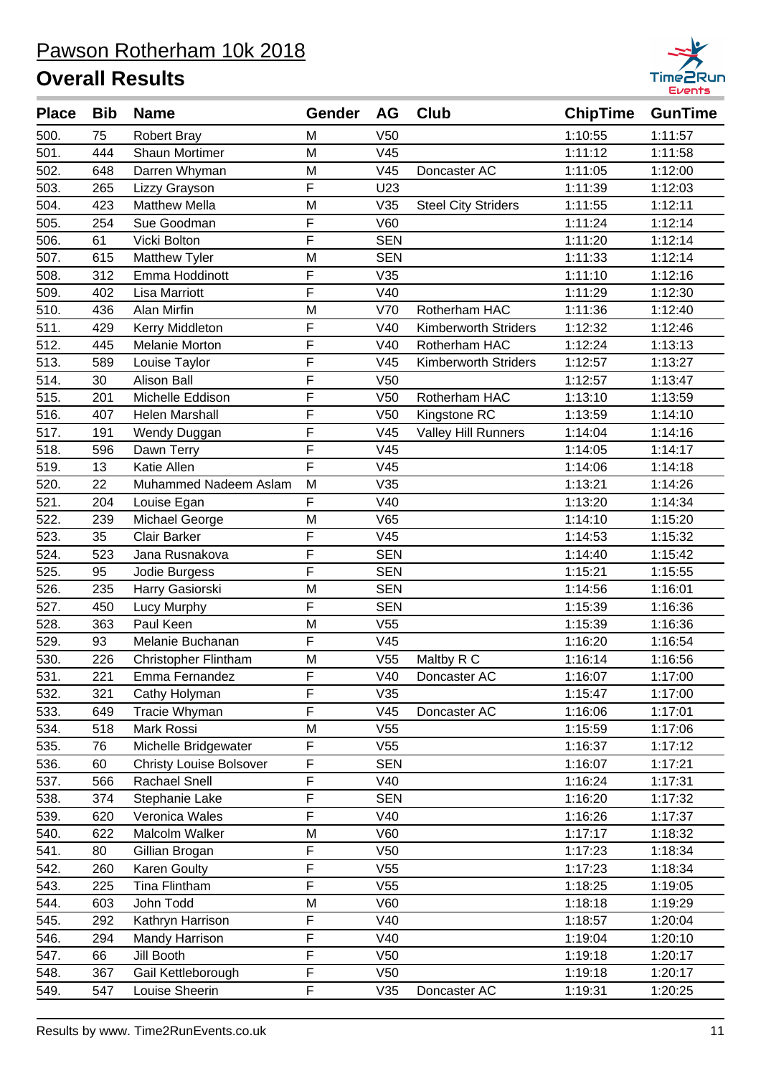

| <b>Place</b> | <b>Bib</b> | <b>Name</b>                    | Gender         | <b>AG</b>       | Club                        | <b>ChipTime</b> | <b>GunTime</b> |
|--------------|------------|--------------------------------|----------------|-----------------|-----------------------------|-----------------|----------------|
| 500.         | 75         | <b>Robert Bray</b>             | M              | V <sub>50</sub> |                             | 1:10:55         | 1:11:57        |
| 501.         | 444        | <b>Shaun Mortimer</b>          | M              | V45             |                             | 1:11:12         | 1:11:58        |
| 502.         | 648        | Darren Whyman                  | M              | V45             | Doncaster AC                | 1:11:05         | 1:12:00        |
| 503.         | 265        | Lizzy Grayson                  | F              | U23             |                             | 1:11:39         | 1:12:03        |
| 504.         | 423        | <b>Matthew Mella</b>           | M              | V35             | <b>Steel City Striders</b>  | 1:11:55         | 1:12:11        |
| 505.         | 254        | Sue Goodman                    | F              | V60             |                             | 1:11:24         | 1:12:14        |
| 506.         | 61         | Vicki Bolton                   | F              | <b>SEN</b>      |                             | 1:11:20         | 1:12:14        |
| 507.         | 615        | Matthew Tyler                  | M              | <b>SEN</b>      |                             | 1:11:33         | 1:12:14        |
| 508.         | 312        | Emma Hoddinott                 | F              | V35             |                             | 1:11:10         | 1:12:16        |
| 509.         | 402        | Lisa Marriott                  | $\overline{F}$ | V40             |                             | 1:11:29         | 1:12:30        |
| 510.         | 436        | Alan Mirfin                    | M              | V70             | Rotherham HAC               | 1:11:36         | 1:12:40        |
| 511.         | 429        | Kerry Middleton                | F              | V40             | <b>Kimberworth Striders</b> | 1:12:32         | 1:12:46        |
| 512.         | 445        | <b>Melanie Morton</b>          | F              | V40             | Rotherham HAC               | 1:12:24         | 1:13:13        |
| 513.         | 589        | Louise Taylor                  | F              | V45             | <b>Kimberworth Striders</b> | 1:12:57         | 1:13:27        |
| 514.         | 30         | <b>Alison Ball</b>             | F              | V <sub>50</sub> |                             | 1:12:57         | 1:13:47        |
| 515.         | 201        | Michelle Eddison               | F              | V <sub>50</sub> | Rotherham HAC               | 1:13:10         | 1:13:59        |
| 516.         | 407        | <b>Helen Marshall</b>          | F              | V <sub>50</sub> | Kingstone RC                | 1:13:59         | 1:14:10        |
| 517.         | 191        | Wendy Duggan                   | F              | V45             | <b>Valley Hill Runners</b>  | 1:14:04         | 1:14:16        |
| 518.         | 596        | Dawn Terry                     | F              | V45             |                             | 1:14:05         | 1:14:17        |
| 519.         | 13         | Katie Allen                    | F              | V45             |                             | 1:14:06         | 1:14:18        |
| 520.         | 22         | Muhammed Nadeem Aslam          | M              | V35             |                             | 1:13:21         | 1:14:26        |
| 521.         | 204        | Louise Egan                    | F              | V40             |                             | 1:13:20         | 1:14:34        |
| 522.         | 239        | Michael George                 | M              | V65             |                             | 1:14:10         | 1:15:20        |
| 523.         | 35         | <b>Clair Barker</b>            | F              | V45             |                             | 1:14:53         | 1:15:32        |
| 524.         | 523        | Jana Rusnakova                 | F              | <b>SEN</b>      |                             | 1:14:40         | 1:15:42        |
| 525.         | 95         | Jodie Burgess                  | F              | <b>SEN</b>      |                             | 1:15:21         | 1:15:55        |
| 526.         | 235        | Harry Gasiorski                | M              | <b>SEN</b>      |                             | 1:14:56         | 1:16:01        |
| 527.         | 450        | Lucy Murphy                    | F              | <b>SEN</b>      |                             | 1:15:39         | 1:16:36        |
| 528.         | 363        | Paul Keen                      | M              | V <sub>55</sub> |                             | 1:15:39         | 1:16:36        |
| 529.         | 93         | Melanie Buchanan               | $\overline{F}$ | V45             |                             | 1:16:20         | 1:16:54        |
| 530.         | 226        | Christopher Flintham           | M              | V <sub>55</sub> | Maltby R C                  | 1:16:14         | 1:16:56        |
| 531.         | 221        | Emma Fernandez                 | $\mathsf F$    | V40             | Doncaster AC                | 1:16:07         | 1:17:00        |
| 532.         | 321        | Cathy Holyman                  | F              | V35             |                             | 1:15:47         | 1:17:00        |
| 533.         | 649        | Tracie Whyman                  | F              | V45             | Doncaster AC                | 1:16:06         | 1:17:01        |
| 534.         | 518        | Mark Rossi                     | M              | V55             |                             | 1:15:59         | 1:17:06        |
| 535.         | 76         | Michelle Bridgewater           | F              | V <sub>55</sub> |                             | 1:16:37         | 1:17:12        |
| 536.         | 60         | <b>Christy Louise Bolsover</b> | F              | <b>SEN</b>      |                             | 1:16:07         | 1:17:21        |
| 537.         | 566        | Rachael Snell                  | F              | V40             |                             | 1:16:24         | 1:17:31        |
| 538.         | 374        | Stephanie Lake                 | F              | <b>SEN</b>      |                             | 1:16:20         | 1:17:32        |
| 539.         | 620        | Veronica Wales                 | F              | V40             |                             | 1:16:26         | 1:17:37        |
| 540.         | 622        | Malcolm Walker                 | M              | V60             |                             | 1:17:17         | 1:18:32        |
| 541.         | 80         | Gillian Brogan                 | F              | V50             |                             | 1:17:23         | 1:18:34        |
| 542.         | 260        | <b>Karen Goulty</b>            | F              | V <sub>55</sub> |                             | 1:17:23         | 1:18:34        |
| 543.         | 225        | Tina Flintham                  | F              | V <sub>55</sub> |                             | 1:18:25         | 1:19:05        |
| 544.         | 603        | John Todd                      | M              | <b>V60</b>      |                             | 1:18:18         | 1:19:29        |
| 545.         | 292        | Kathryn Harrison               | F              | V40             |                             | 1:18:57         | 1:20:04        |
| 546.         | 294        | Mandy Harrison                 | F              | V40             |                             | 1:19:04         | 1:20:10        |
| 547.         | 66         | Jill Booth                     | F              | V50             |                             | 1:19:18         | 1:20:17        |
| 548.         | 367        | Gail Kettleborough             | F              | V <sub>50</sub> |                             | 1:19:18         | 1:20:17        |
| 549.         | 547        | Louise Sheerin                 | F              | V35             | Doncaster AC                | 1:19:31         | 1:20:25        |